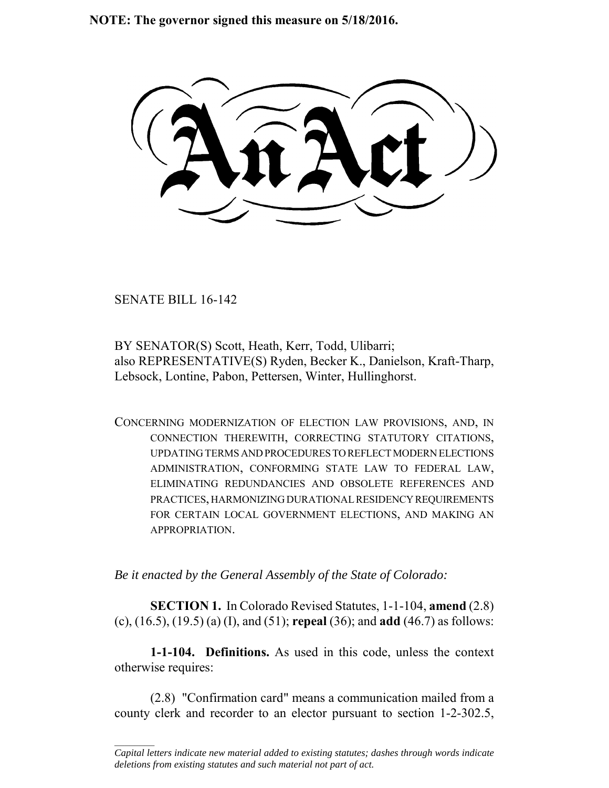**NOTE: The governor signed this measure on 5/18/2016.**

SENATE BILL 16-142

 $\frac{1}{2}$ 

BY SENATOR(S) Scott, Heath, Kerr, Todd, Ulibarri; also REPRESENTATIVE(S) Ryden, Becker K., Danielson, Kraft-Tharp, Lebsock, Lontine, Pabon, Pettersen, Winter, Hullinghorst.

CONCERNING MODERNIZATION OF ELECTION LAW PROVISIONS, AND, IN CONNECTION THEREWITH, CORRECTING STATUTORY CITATIONS, UPDATING TERMS AND PROCEDURES TO REFLECT MODERN ELECTIONS ADMINISTRATION, CONFORMING STATE LAW TO FEDERAL LAW, ELIMINATING REDUNDANCIES AND OBSOLETE REFERENCES AND PRACTICES, HARMONIZING DURATIONAL RESIDENCY REQUIREMENTS FOR CERTAIN LOCAL GOVERNMENT ELECTIONS, AND MAKING AN APPROPRIATION.

*Be it enacted by the General Assembly of the State of Colorado:*

**SECTION 1.** In Colorado Revised Statutes, 1-1-104, **amend** (2.8) (c), (16.5), (19.5) (a) (I), and (51); **repeal** (36); and **add** (46.7) as follows:

**1-1-104. Definitions.** As used in this code, unless the context otherwise requires:

(2.8) "Confirmation card" means a communication mailed from a county clerk and recorder to an elector pursuant to section 1-2-302.5,

*Capital letters indicate new material added to existing statutes; dashes through words indicate deletions from existing statutes and such material not part of act.*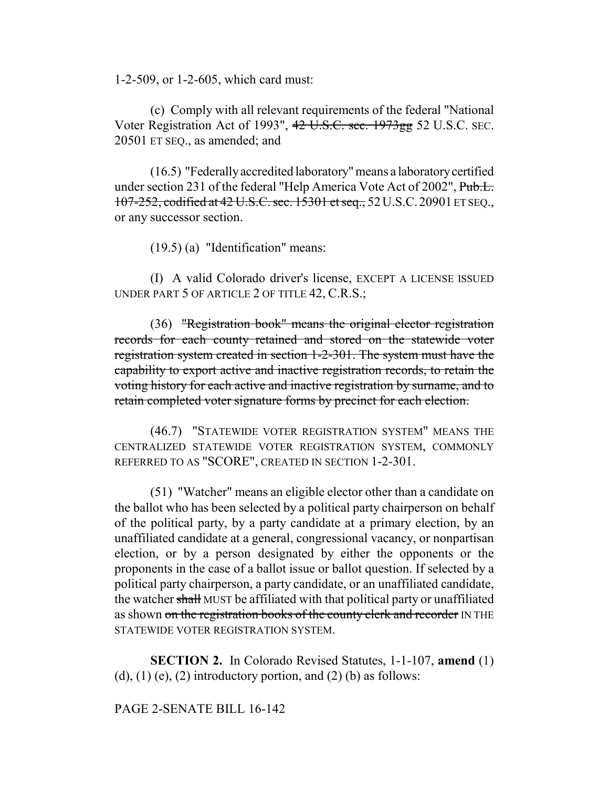1-2-509, or 1-2-605, which card must:

(c) Comply with all relevant requirements of the federal "National Voter Registration Act of 1993", 42 U.S.C. sec. 1973gg 52 U.S.C. SEC. 20501 ET SEQ., as amended; and

(16.5) "Federally accredited laboratory" means a laboratory certified under section 231 of the federal "Help America Vote Act of 2002", Pub.L. 107-252, codified at 42 U.S.C. sec. 15301 et seq., 52U.S.C.20901 ET SEQ., or any successor section.

(19.5) (a) "Identification" means:

(I) A valid Colorado driver's license, EXCEPT A LICENSE ISSUED UNDER PART 5 OF ARTICLE 2 OF TITLE 42, C.R.S.;

(36) "Registration book" means the original elector registration records for each county retained and stored on the statewide voter registration system created in section 1-2-301. The system must have the capability to export active and inactive registration records, to retain the voting history for each active and inactive registration by surname, and to retain completed voter signature forms by precinct for each election.

(46.7) "STATEWIDE VOTER REGISTRATION SYSTEM" MEANS THE CENTRALIZED STATEWIDE VOTER REGISTRATION SYSTEM, COMMONLY REFERRED TO AS "SCORE", CREATED IN SECTION 1-2-301.

(51) "Watcher" means an eligible elector other than a candidate on the ballot who has been selected by a political party chairperson on behalf of the political party, by a party candidate at a primary election, by an unaffiliated candidate at a general, congressional vacancy, or nonpartisan election, or by a person designated by either the opponents or the proponents in the case of a ballot issue or ballot question. If selected by a political party chairperson, a party candidate, or an unaffiliated candidate, the watcher shall MUST be affiliated with that political party or unaffiliated as shown on the registration books of the county clerk and recorder IN THE STATEWIDE VOTER REGISTRATION SYSTEM.

**SECTION 2.** In Colorado Revised Statutes, 1-1-107, **amend** (1) (d), (1) (e), (2) introductory portion, and (2) (b) as follows:

#### PAGE 2-SENATE BILL 16-142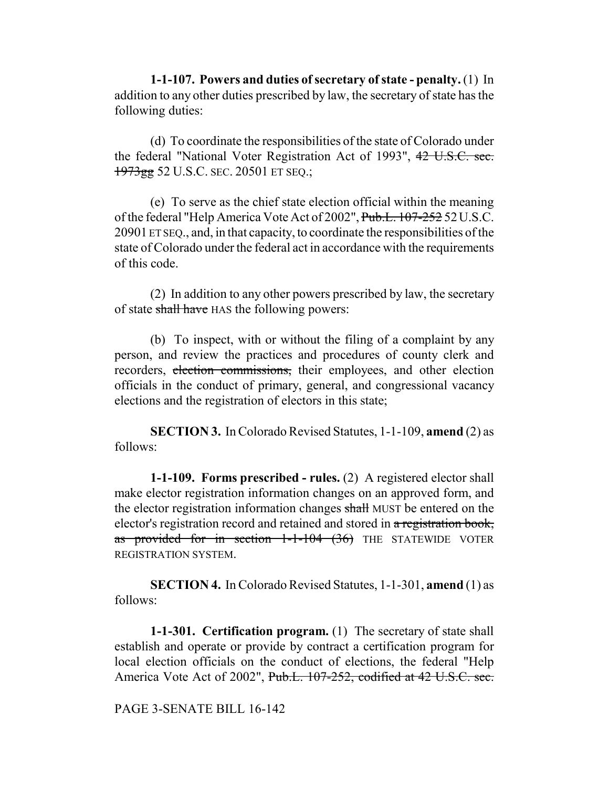**1-1-107. Powers and duties of secretary of state - penalty.** (1) In addition to any other duties prescribed by law, the secretary of state has the following duties:

(d) To coordinate the responsibilities of the state of Colorado under the federal "National Voter Registration Act of 1993", 42 U.S.C. sec. 1973gg 52 U.S.C. SEC. 20501 ET SEQ.;

(e) To serve as the chief state election official within the meaning of the federal "Help America Vote Act of 2002", Pub.L. 107-252 52U.S.C. 20901 ET SEQ., and, in that capacity, to coordinate the responsibilities of the state of Colorado under the federal act in accordance with the requirements of this code.

(2) In addition to any other powers prescribed by law, the secretary of state shall have HAS the following powers:

(b) To inspect, with or without the filing of a complaint by any person, and review the practices and procedures of county clerk and recorders, election commissions, their employees, and other election officials in the conduct of primary, general, and congressional vacancy elections and the registration of electors in this state;

**SECTION 3.** In Colorado Revised Statutes, 1-1-109, **amend** (2) as follows:

**1-1-109. Forms prescribed - rules.** (2) A registered elector shall make elector registration information changes on an approved form, and the elector registration information changes shall MUST be entered on the elector's registration record and retained and stored in a registration book, as provided for in section  $1-1-104$   $(36)$  THE STATEWIDE VOTER REGISTRATION SYSTEM.

**SECTION 4.** In Colorado Revised Statutes, 1-1-301, **amend** (1) as follows:

**1-1-301. Certification program.** (1) The secretary of state shall establish and operate or provide by contract a certification program for local election officials on the conduct of elections, the federal "Help America Vote Act of 2002", Pub.L. 107-252, codified at 42 U.S.C. sec.

PAGE 3-SENATE BILL 16-142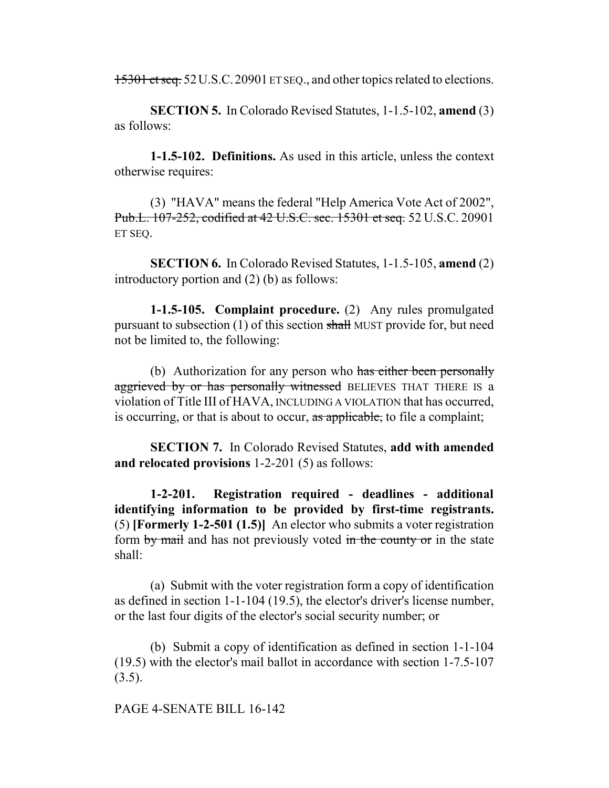15301 et seq. 52U.S.C.20901 ET SEQ., and other topics related to elections.

**SECTION 5.** In Colorado Revised Statutes, 1-1.5-102, **amend** (3) as follows:

**1-1.5-102. Definitions.** As used in this article, unless the context otherwise requires:

(3) "HAVA" means the federal "Help America Vote Act of 2002", Pub.L. 107-252, codified at 42 U.S.C. sec. 15301 et seq. 52 U.S.C. 20901 ET SEQ.

**SECTION 6.** In Colorado Revised Statutes, 1-1.5-105, **amend** (2) introductory portion and (2) (b) as follows:

**1-1.5-105. Complaint procedure.** (2) Any rules promulgated pursuant to subsection (1) of this section shall MUST provide for, but need not be limited to, the following:

(b) Authorization for any person who has either been personally aggrieved by or has personally witnessed BELIEVES THAT THERE IS a violation of Title III of HAVA, INCLUDING A VIOLATION that has occurred, is occurring, or that is about to occur, as applicable, to file a complaint;

**SECTION 7.** In Colorado Revised Statutes, **add with amended and relocated provisions** 1-2-201 (5) as follows:

**1-2-201. Registration required - deadlines - additional identifying information to be provided by first-time registrants.** (5) **[Formerly 1-2-501 (1.5)]** An elector who submits a voter registration form by mail and has not previously voted in the county or in the state shall:

(a) Submit with the voter registration form a copy of identification as defined in section 1-1-104 (19.5), the elector's driver's license number, or the last four digits of the elector's social security number; or

(b) Submit a copy of identification as defined in section 1-1-104 (19.5) with the elector's mail ballot in accordance with section 1-7.5-107  $(3.5)$ .

#### PAGE 4-SENATE BILL 16-142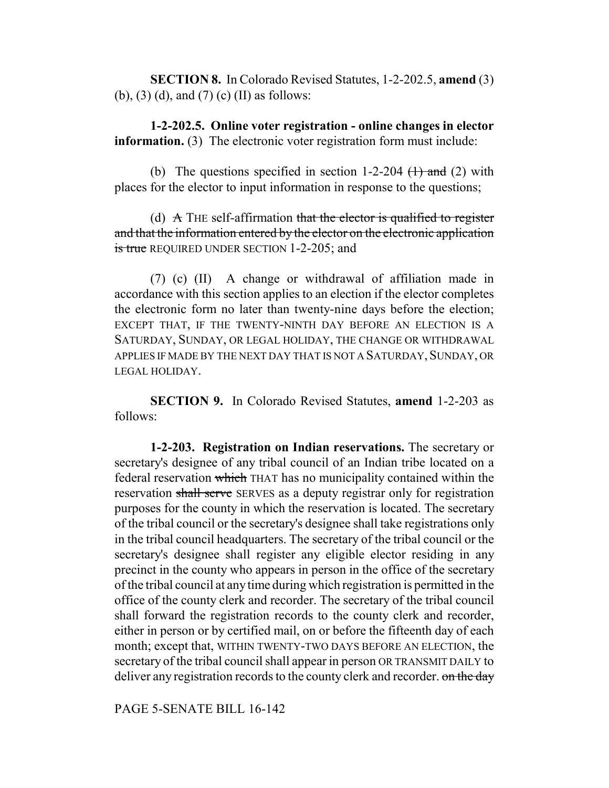**SECTION 8.** In Colorado Revised Statutes, 1-2-202.5, **amend** (3) (b), (3) (d), and (7) (c) (II) as follows:

**1-2-202.5. Online voter registration - online changes in elector information.** (3) The electronic voter registration form must include:

(b) The questions specified in section 1-2-204  $(1)$  and (2) with places for the elector to input information in response to the questions;

(d)  $\overrightarrow{A}$  THE self-affirmation that the elector is qualified to register and that the information entered by the elector on the electronic application is true REQUIRED UNDER SECTION 1-2-205; and

(7) (c) (II) A change or withdrawal of affiliation made in accordance with this section applies to an election if the elector completes the electronic form no later than twenty-nine days before the election; EXCEPT THAT, IF THE TWENTY-NINTH DAY BEFORE AN ELECTION IS A SATURDAY, SUNDAY, OR LEGAL HOLIDAY, THE CHANGE OR WITHDRAWAL APPLIES IF MADE BY THE NEXT DAY THAT IS NOT A SATURDAY, SUNDAY, OR LEGAL HOLIDAY.

**SECTION 9.** In Colorado Revised Statutes, **amend** 1-2-203 as follows:

**1-2-203. Registration on Indian reservations.** The secretary or secretary's designee of any tribal council of an Indian tribe located on a federal reservation which THAT has no municipality contained within the reservation shall serve SERVES as a deputy registrar only for registration purposes for the county in which the reservation is located. The secretary of the tribal council or the secretary's designee shall take registrations only in the tribal council headquarters. The secretary of the tribal council or the secretary's designee shall register any eligible elector residing in any precinct in the county who appears in person in the office of the secretary of the tribal council at any time during which registration is permitted in the office of the county clerk and recorder. The secretary of the tribal council shall forward the registration records to the county clerk and recorder, either in person or by certified mail, on or before the fifteenth day of each month; except that, WITHIN TWENTY-TWO DAYS BEFORE AN ELECTION, the secretary of the tribal council shall appear in person OR TRANSMIT DAILY to deliver any registration records to the county clerk and recorder. on the day

PAGE 5-SENATE BILL 16-142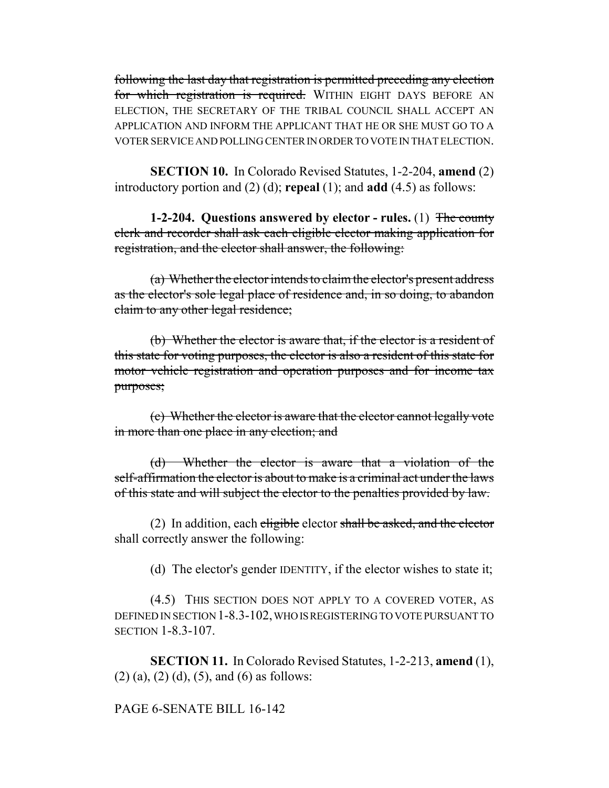following the last day that registration is permitted preceding any election for which registration is required. WITHIN EIGHT DAYS BEFORE AN ELECTION, THE SECRETARY OF THE TRIBAL COUNCIL SHALL ACCEPT AN APPLICATION AND INFORM THE APPLICANT THAT HE OR SHE MUST GO TO A VOTER SERVICE AND POLLING CENTER IN ORDER TO VOTE IN THAT ELECTION.

**SECTION 10.** In Colorado Revised Statutes, 1-2-204, **amend** (2) introductory portion and (2) (d); **repeal** (1); and **add** (4.5) as follows:

**1-2-204. Questions answered by elector - rules.** (1) The county clerk and recorder shall ask each eligible elector making application for registration, and the elector shall answer, the following:

(a) Whether the elector intends to claim the elector's present address as the elector's sole legal place of residence and, in so doing, to abandon claim to any other legal residence;

(b) Whether the elector is aware that, if the elector is a resident of this state for voting purposes, the elector is also a resident of this state for motor vehicle registration and operation purposes and for income tax purposes;

(c) Whether the elector is aware that the elector cannot legally vote in more than one place in any election; and

(d) Whether the elector is aware that a violation of the self-affirmation the elector is about to make is a criminal act under the laws of this state and will subject the elector to the penalties provided by law.

(2) In addition, each eligible elector shall be asked, and the elector shall correctly answer the following:

(d) The elector's gender IDENTITY, if the elector wishes to state it;

(4.5) THIS SECTION DOES NOT APPLY TO A COVERED VOTER, AS DEFINED IN SECTION 1-8.3-102, WHO IS REGISTERING TO VOTE PURSUANT TO SECTION 1-8.3-107.

**SECTION 11.** In Colorado Revised Statutes, 1-2-213, **amend** (1),  $(2)$  (a),  $(2)$  (d),  $(5)$ , and  $(6)$  as follows:

## PAGE 6-SENATE BILL 16-142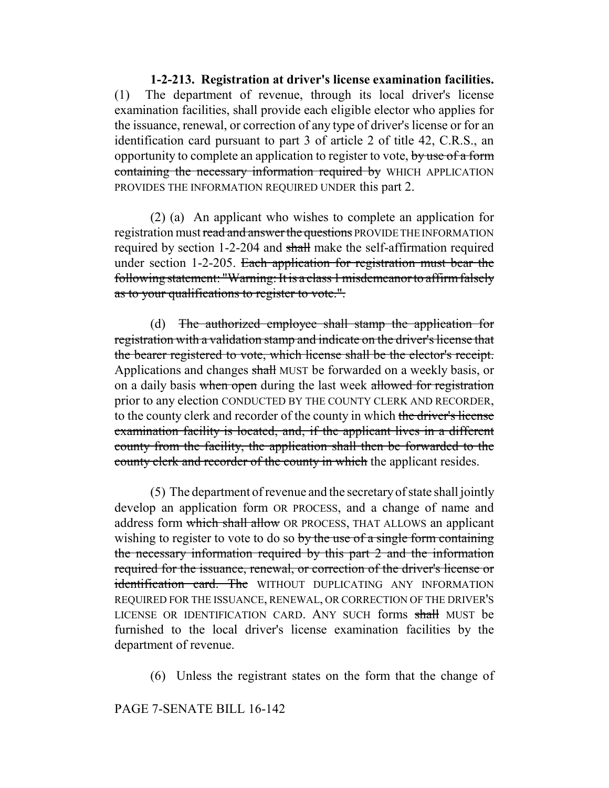**1-2-213. Registration at driver's license examination facilities.** (1) The department of revenue, through its local driver's license examination facilities, shall provide each eligible elector who applies for the issuance, renewal, or correction of any type of driver's license or for an identification card pursuant to part 3 of article 2 of title 42, C.R.S., an opportunity to complete an application to register to vote, by use of a form containing the necessary information required by WHICH APPLICATION PROVIDES THE INFORMATION REQUIRED UNDER this part 2.

(2) (a) An applicant who wishes to complete an application for registration must read and answer the questions PROVIDE THE INFORMATION required by section 1-2-204 and shall make the self-affirmation required under section 1-2-205. Each application for registration must bear the following statement: "Warning: It is a class 1 misdemeanor to affirm falsely as to your qualifications to register to vote.".

(d) The authorized employee shall stamp the application for registration with a validation stamp and indicate on the driver's license that the bearer registered to vote, which license shall be the elector's receipt. Applications and changes shall MUST be forwarded on a weekly basis, or on a daily basis when open during the last week allowed for registration prior to any election CONDUCTED BY THE COUNTY CLERK AND RECORDER, to the county clerk and recorder of the county in which the driver's license examination facility is located, and, if the applicant lives in a different county from the facility, the application shall then be forwarded to the county clerk and recorder of the county in which the applicant resides.

(5) The department of revenue and the secretary of state shall jointly develop an application form OR PROCESS, and a change of name and address form which shall allow OR PROCESS, THAT ALLOWS an applicant wishing to register to vote to do so by the use of a single form containing the necessary information required by this part 2 and the information required for the issuance, renewal, or correction of the driver's license or identification card. The WITHOUT DUPLICATING ANY INFORMATION REQUIRED FOR THE ISSUANCE, RENEWAL, OR CORRECTION OF THE DRIVER'S LICENSE OR IDENTIFICATION CARD. ANY SUCH forms shall MUST be furnished to the local driver's license examination facilities by the department of revenue.

(6) Unless the registrant states on the form that the change of

## PAGE 7-SENATE BILL 16-142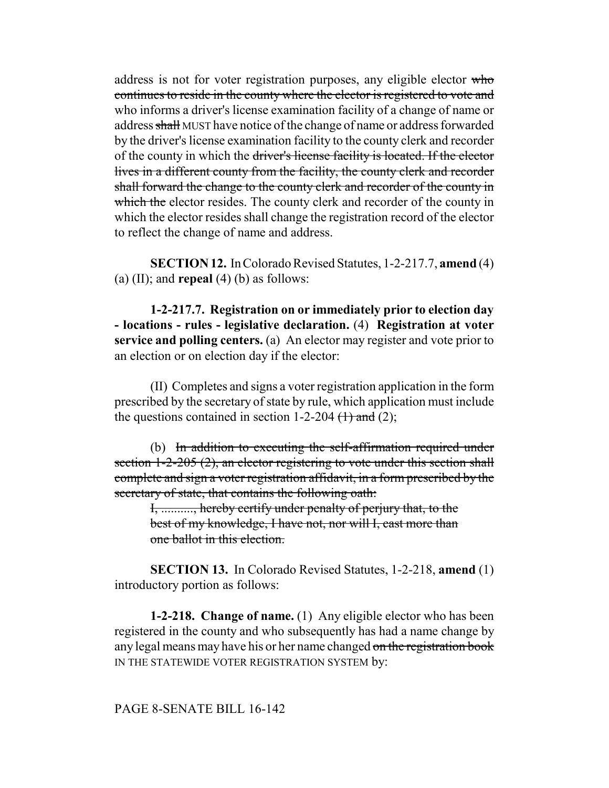address is not for voter registration purposes, any eligible elector who continues to reside in the county where the elector is registered to vote and who informs a driver's license examination facility of a change of name or address shall MUST have notice of the change of name or address forwarded by the driver's license examination facility to the county clerk and recorder of the county in which the driver's license facility is located. If the elector lives in a different county from the facility, the county clerk and recorder shall forward the change to the county clerk and recorder of the county in which the elector resides. The county clerk and recorder of the county in which the elector resides shall change the registration record of the elector to reflect the change of name and address.

**SECTION 12.** In Colorado Revised Statutes, 1-2-217.7, **amend** (4) (a) (II); and **repeal** (4) (b) as follows:

**1-2-217.7. Registration on or immediately prior to election day - locations - rules - legislative declaration.** (4) **Registration at voter service and polling centers.** (a) An elector may register and vote prior to an election or on election day if the elector:

(II) Completes and signs a voter registration application in the form prescribed by the secretary of state by rule, which application must include the questions contained in section 1-2-204  $(1)$  and (2);

(b) In addition to executing the self-affirmation required under section 1-2-205 (2), an elector registering to vote under this section shall complete and sign a voter registration affidavit, in a form prescribed by the secretary of state, that contains the following oath:

I, .........., hereby certify under penalty of perjury that, to the best of my knowledge, I have not, nor will I, cast more than one ballot in this election.

**SECTION 13.** In Colorado Revised Statutes, 1-2-218, **amend** (1) introductory portion as follows:

**1-2-218. Change of name.** (1) Any eligible elector who has been registered in the county and who subsequently has had a name change by any legal means may have his or her name changed on the registration book IN THE STATEWIDE VOTER REGISTRATION SYSTEM by:

#### PAGE 8-SENATE BILL 16-142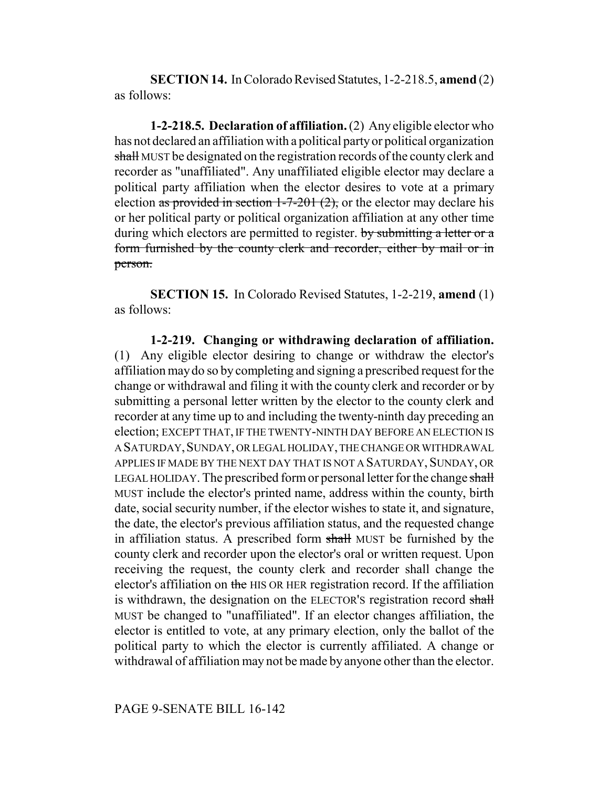**SECTION 14.** In Colorado Revised Statutes, 1-2-218.5, **amend** (2) as follows:

**1-2-218.5. Declaration of affiliation.** (2) Any eligible elector who has not declared an affiliation with a political party or political organization shall MUST be designated on the registration records of the county clerk and recorder as "unaffiliated". Any unaffiliated eligible elector may declare a political party affiliation when the elector desires to vote at a primary election as provided in section  $1-7-201(2)$ , or the elector may declare his or her political party or political organization affiliation at any other time during which electors are permitted to register. by submitting a letter or a form furnished by the county clerk and recorder, either by mail or in person.

**SECTION 15.** In Colorado Revised Statutes, 1-2-219, **amend** (1) as follows:

**1-2-219. Changing or withdrawing declaration of affiliation.** (1) Any eligible elector desiring to change or withdraw the elector's affiliation may do so by completing and signing a prescribed request for the change or withdrawal and filing it with the county clerk and recorder or by submitting a personal letter written by the elector to the county clerk and recorder at any time up to and including the twenty-ninth day preceding an election; EXCEPT THAT, IF THE TWENTY-NINTH DAY BEFORE AN ELECTION IS A SATURDAY, SUNDAY, OR LEGAL HOLIDAY, THE CHANGE OR WITHDRAWAL APPLIES IF MADE BY THE NEXT DAY THAT IS NOT A SATURDAY, SUNDAY, OR LEGAL HOLIDAY. The prescribed form or personal letter for the change shall MUST include the elector's printed name, address within the county, birth date, social security number, if the elector wishes to state it, and signature, the date, the elector's previous affiliation status, and the requested change in affiliation status. A prescribed form shall MUST be furnished by the county clerk and recorder upon the elector's oral or written request. Upon receiving the request, the county clerk and recorder shall change the elector's affiliation on the HIS OR HER registration record. If the affiliation is withdrawn, the designation on the ELECTOR's registration record shall MUST be changed to "unaffiliated". If an elector changes affiliation, the elector is entitled to vote, at any primary election, only the ballot of the political party to which the elector is currently affiliated. A change or withdrawal of affiliation may not be made by anyone other than the elector.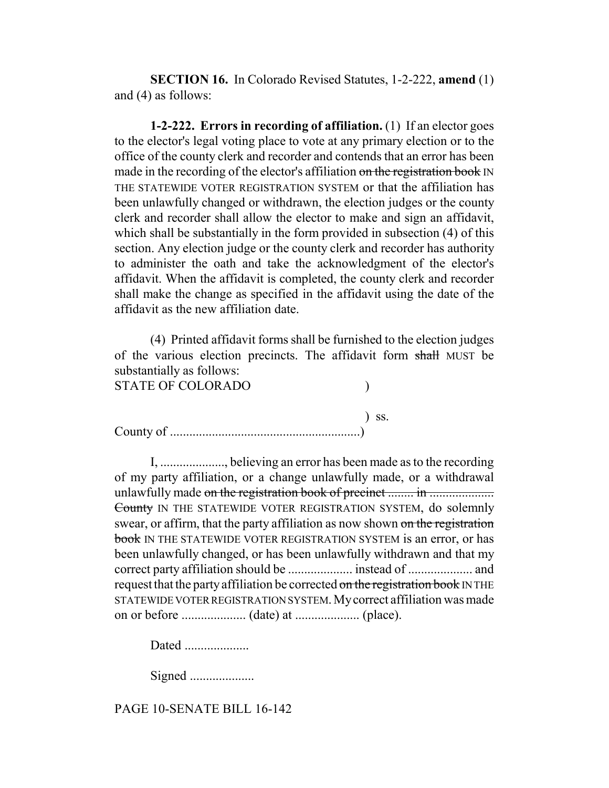**SECTION 16.** In Colorado Revised Statutes, 1-2-222, **amend** (1) and (4) as follows:

**1-2-222. Errors in recording of affiliation.** (1) If an elector goes to the elector's legal voting place to vote at any primary election or to the office of the county clerk and recorder and contends that an error has been made in the recording of the elector's affiliation on the registration book IN THE STATEWIDE VOTER REGISTRATION SYSTEM or that the affiliation has been unlawfully changed or withdrawn, the election judges or the county clerk and recorder shall allow the elector to make and sign an affidavit, which shall be substantially in the form provided in subsection (4) of this section. Any election judge or the county clerk and recorder has authority to administer the oath and take the acknowledgment of the elector's affidavit. When the affidavit is completed, the county clerk and recorder shall make the change as specified in the affidavit using the date of the affidavit as the new affiliation date.

(4) Printed affidavit forms shall be furnished to the election judges of the various election precincts. The affidavit form shall MUST be substantially as follows:

STATE OF COLORADO (1)

) ss. County of ...........................................................)

I, ...................., believing an error has been made as to the recording of my party affiliation, or a change unlawfully made, or a withdrawal unlawfully made on the registration book of precinct ........ in .................... County IN THE STATEWIDE VOTER REGISTRATION SYSTEM, do solemnly swear, or affirm, that the party affiliation as now shown on the registration book IN THE STATEWIDE VOTER REGISTRATION SYSTEM is an error, or has been unlawfully changed, or has been unlawfully withdrawn and that my correct party affiliation should be .................... instead of .................... and request that the party affiliation be corrected on the registration book IN THE STATEWIDE VOTER REGISTRATION SYSTEM. My correct affiliation was made on or before .................... (date) at .................... (place).

Dated ....................

Signed ......................

PAGE 10-SENATE BILL 16-142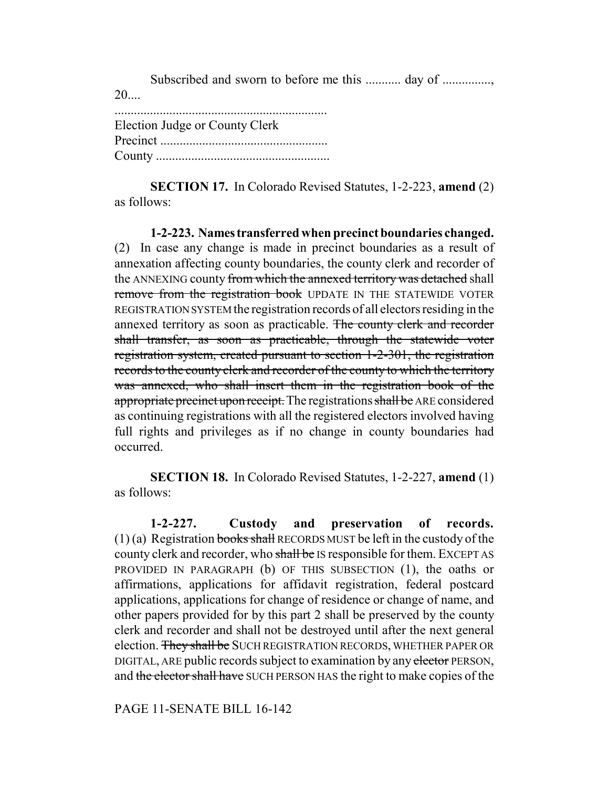Subscribed and sworn to before me this ............ day of ................  $20$ ....

| Election Judge or County Clerk |
|--------------------------------|
|                                |
|                                |

**SECTION 17.** In Colorado Revised Statutes, 1-2-223, **amend** (2) as follows:

**1-2-223. Names transferred when precinct boundaries changed.** (2) In case any change is made in precinct boundaries as a result of annexation affecting county boundaries, the county clerk and recorder of the ANNEXING county from which the annexed territory was detached shall remove from the registration book UPDATE IN THE STATEWIDE VOTER REGISTRATION SYSTEM the registration records of all electors residing in the annexed territory as soon as practicable. The county clerk and recorder shall transfer, as soon as practicable, through the statewide voter registration system, created pursuant to section 1-2-301, the registration records to the county clerk and recorder of the county to which the territory was annexed, who shall insert them in the registration book of the appropriate precinct upon receipt. The registrations shall be ARE considered as continuing registrations with all the registered electors involved having full rights and privileges as if no change in county boundaries had occurred.

**SECTION 18.** In Colorado Revised Statutes, 1-2-227, **amend** (1) as follows:

**1-2-227. Custody and preservation of records.** (1) (a) Registration books shall RECORDS MUST be left in the custody of the county clerk and recorder, who shall be IS responsible for them. EXCEPT AS PROVIDED IN PARAGRAPH (b) OF THIS SUBSECTION (1), the oaths or affirmations, applications for affidavit registration, federal postcard applications, applications for change of residence or change of name, and other papers provided for by this part 2 shall be preserved by the county clerk and recorder and shall not be destroyed until after the next general election. They shall be SUCH REGISTRATION RECORDS, WHETHER PAPER OR DIGITAL, ARE public records subject to examination by any elector PERSON, and the elector shall have SUCH PERSON HAS the right to make copies of the

PAGE 11-SENATE BILL 16-142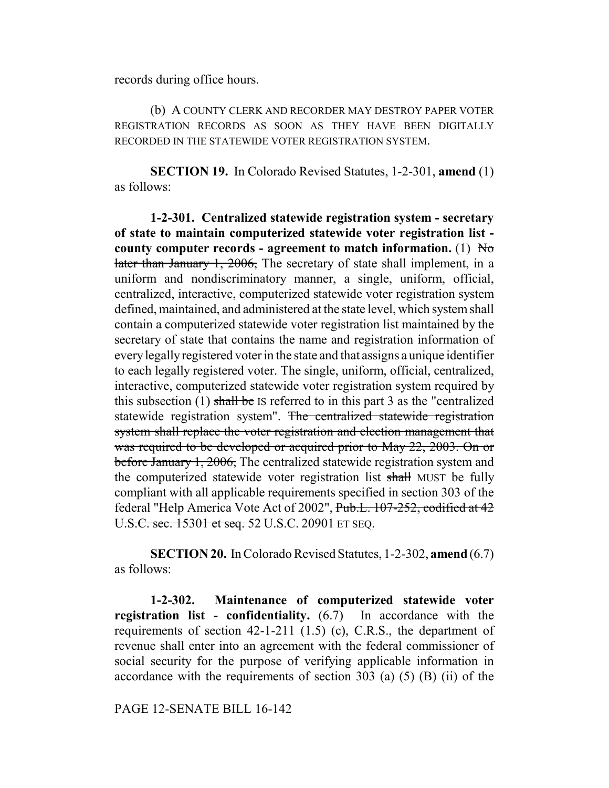records during office hours.

(b) A COUNTY CLERK AND RECORDER MAY DESTROY PAPER VOTER REGISTRATION RECORDS AS SOON AS THEY HAVE BEEN DIGITALLY RECORDED IN THE STATEWIDE VOTER REGISTRATION SYSTEM.

**SECTION 19.** In Colorado Revised Statutes, 1-2-301, **amend** (1) as follows:

**1-2-301. Centralized statewide registration system - secretary of state to maintain computerized statewide voter registration list county computer records - agreement to match information.** (1)  $H_0$ later than January 1, 2006, The secretary of state shall implement, in a uniform and nondiscriminatory manner, a single, uniform, official, centralized, interactive, computerized statewide voter registration system defined, maintained, and administered at the state level, which system shall contain a computerized statewide voter registration list maintained by the secretary of state that contains the name and registration information of every legally registered voter in the state and that assigns a unique identifier to each legally registered voter. The single, uniform, official, centralized, interactive, computerized statewide voter registration system required by this subsection  $(1)$  shall be IS referred to in this part 3 as the "centralized" statewide registration system". The centralized statewide registration system shall replace the voter registration and election management that was required to be developed or acquired prior to May 22, 2003. On or before January 1, 2006, The centralized statewide registration system and the computerized statewide voter registration list shall MUST be fully compliant with all applicable requirements specified in section 303 of the federal "Help America Vote Act of 2002", Pub.L. 107-252, codified at 42 U.S.C. sec. 15301 et seq. 52 U.S.C. 20901 ET SEQ.

**SECTION 20.** In Colorado Revised Statutes, 1-2-302, **amend** (6.7) as follows:

**1-2-302. Maintenance of computerized statewide voter registration list - confidentiality.** (6.7) In accordance with the requirements of section 42-1-211 (1.5) (c), C.R.S., the department of revenue shall enter into an agreement with the federal commissioner of social security for the purpose of verifying applicable information in accordance with the requirements of section  $303$  (a) (5) (B) (ii) of the

PAGE 12-SENATE BILL 16-142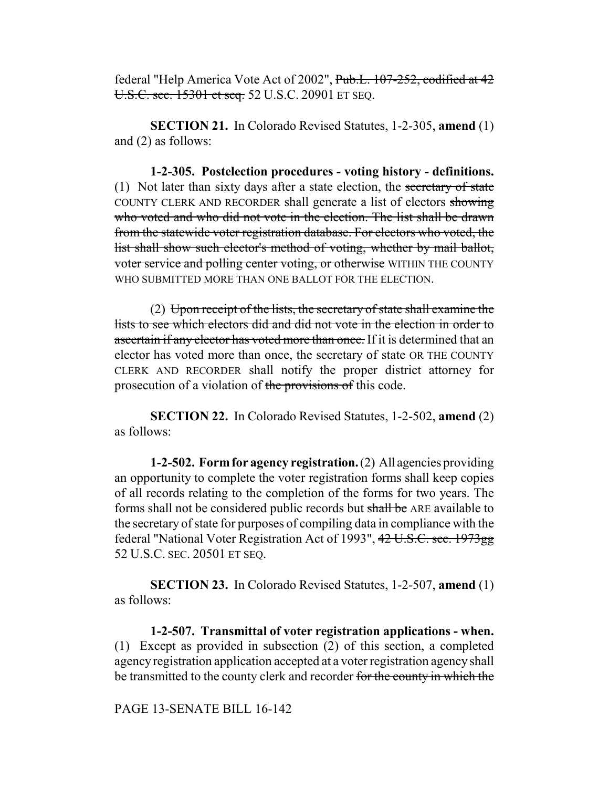federal "Help America Vote Act of 2002", Pub.L. 107-252, codified at 42 U.S.C. sec. 15301 et seq. 52 U.S.C. 20901 ET SEQ.

**SECTION 21.** In Colorado Revised Statutes, 1-2-305, **amend** (1) and (2) as follows:

**1-2-305. Postelection procedures - voting history - definitions.** (1) Not later than sixty days after a state election, the secretary of state COUNTY CLERK AND RECORDER shall generate a list of electors showing who voted and who did not vote in the election. The list shall be drawn from the statewide voter registration database. For electors who voted, the list shall show such elector's method of voting, whether by mail ballot, voter service and polling center voting, or otherwise WITHIN THE COUNTY WHO SUBMITTED MORE THAN ONE BALLOT FOR THE ELECTION.

(2) Upon receipt of the lists, the secretary of state shall examine the lists to see which electors did and did not vote in the election in order to ascertain if any elector has voted more than once. If it is determined that an elector has voted more than once, the secretary of state OR THE COUNTY CLERK AND RECORDER shall notify the proper district attorney for prosecution of a violation of the provisions of this code.

**SECTION 22.** In Colorado Revised Statutes, 1-2-502, **amend** (2) as follows:

**1-2-502. Form for agency registration.** (2) All agencies providing an opportunity to complete the voter registration forms shall keep copies of all records relating to the completion of the forms for two years. The forms shall not be considered public records but shall be ARE available to the secretary of state for purposes of compiling data in compliance with the federal "National Voter Registration Act of 1993", 42 U.S.C. sec. 1973gg 52 U.S.C. SEC. 20501 ET SEQ.

**SECTION 23.** In Colorado Revised Statutes, 1-2-507, **amend** (1) as follows:

**1-2-507. Transmittal of voter registration applications - when.** (1) Except as provided in subsection (2) of this section, a completed agency registration application accepted at a voter registration agency shall be transmitted to the county clerk and recorder for the county in which the

#### PAGE 13-SENATE BILL 16-142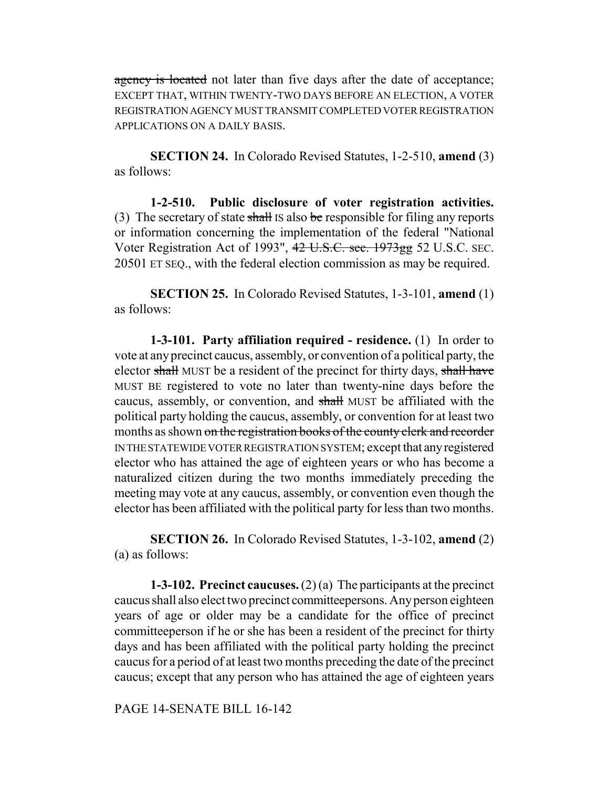agency is located not later than five days after the date of acceptance; EXCEPT THAT, WITHIN TWENTY-TWO DAYS BEFORE AN ELECTION, A VOTER REGISTRATION AGENCY MUST TRANSMIT COMPLETED VOTER REGISTRATION APPLICATIONS ON A DAILY BASIS.

**SECTION 24.** In Colorado Revised Statutes, 1-2-510, **amend** (3) as follows:

**1-2-510. Public disclosure of voter registration activities.** (3) The secretary of state shall IS also be responsible for filing any reports or information concerning the implementation of the federal "National Voter Registration Act of 1993", 42 U.S.C. sec. 1973gg 52 U.S.C. SEC. 20501 ET SEQ., with the federal election commission as may be required.

**SECTION 25.** In Colorado Revised Statutes, 1-3-101, **amend** (1) as follows:

**1-3-101. Party affiliation required - residence.** (1) In order to vote at any precinct caucus, assembly, or convention of a political party, the elector shall MUST be a resident of the precinct for thirty days, shall have MUST BE registered to vote no later than twenty-nine days before the caucus, assembly, or convention, and shall MUST be affiliated with the political party holding the caucus, assembly, or convention for at least two months as shown on the registration books of the county clerk and recorder IN THE STATEWIDE VOTER REGISTRATION SYSTEM; except that any registered elector who has attained the age of eighteen years or who has become a naturalized citizen during the two months immediately preceding the meeting may vote at any caucus, assembly, or convention even though the elector has been affiliated with the political party for less than two months.

**SECTION 26.** In Colorado Revised Statutes, 1-3-102, **amend** (2) (a) as follows:

**1-3-102. Precinct caucuses.** (2) (a) The participants at the precinct caucus shall also elect two precinct committeepersons. Any person eighteen years of age or older may be a candidate for the office of precinct committeeperson if he or she has been a resident of the precinct for thirty days and has been affiliated with the political party holding the precinct caucus for a period of at least two months preceding the date of the precinct caucus; except that any person who has attained the age of eighteen years

PAGE 14-SENATE BILL 16-142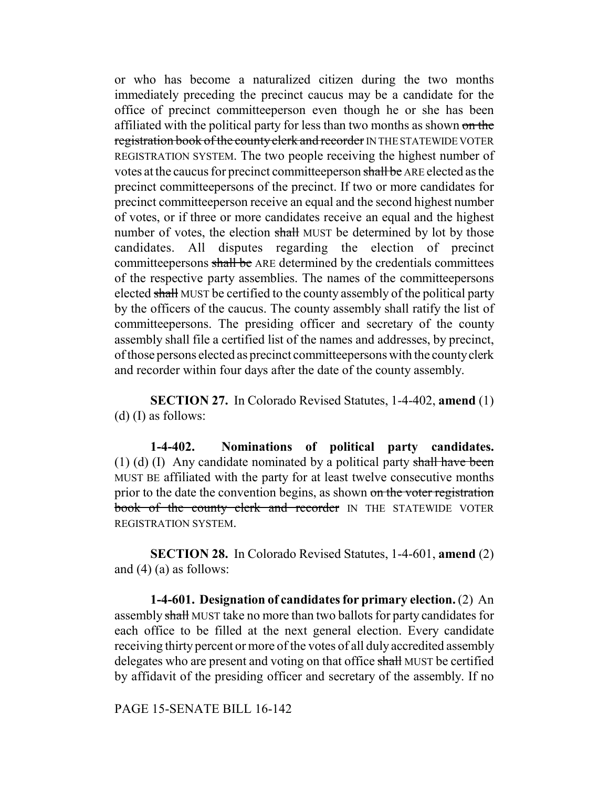or who has become a naturalized citizen during the two months immediately preceding the precinct caucus may be a candidate for the office of precinct committeeperson even though he or she has been affiliated with the political party for less than two months as shown on the registration book of the county clerk and recorder IN THE STATEWIDE VOTER REGISTRATION SYSTEM. The two people receiving the highest number of votes at the caucus for precinct committeeperson shall be ARE elected as the precinct committeepersons of the precinct. If two or more candidates for precinct committeeperson receive an equal and the second highest number of votes, or if three or more candidates receive an equal and the highest number of votes, the election shall MUST be determined by lot by those candidates. All disputes regarding the election of precinct committeepersons shall be ARE determined by the credentials committees of the respective party assemblies. The names of the committeepersons elected shall MUST be certified to the county assembly of the political party by the officers of the caucus. The county assembly shall ratify the list of committeepersons. The presiding officer and secretary of the county assembly shall file a certified list of the names and addresses, by precinct, of those persons elected as precinct committeepersons with the county clerk and recorder within four days after the date of the county assembly.

**SECTION 27.** In Colorado Revised Statutes, 1-4-402, **amend** (1) (d) (I) as follows:

**1-4-402. Nominations of political party candidates.** (1) (d) (I) Any candidate nominated by a political party shall have been MUST BE affiliated with the party for at least twelve consecutive months prior to the date the convention begins, as shown on the voter registration book of the county clerk and recorder IN THE STATEWIDE VOTER REGISTRATION SYSTEM.

**SECTION 28.** In Colorado Revised Statutes, 1-4-601, **amend** (2) and  $(4)$  (a) as follows:

**1-4-601. Designation of candidates for primary election.** (2) An assembly shall MUST take no more than two ballots for party candidates for each office to be filled at the next general election. Every candidate receiving thirty percent or more of the votes of all duly accredited assembly delegates who are present and voting on that office shall MUST be certified by affidavit of the presiding officer and secretary of the assembly. If no

PAGE 15-SENATE BILL 16-142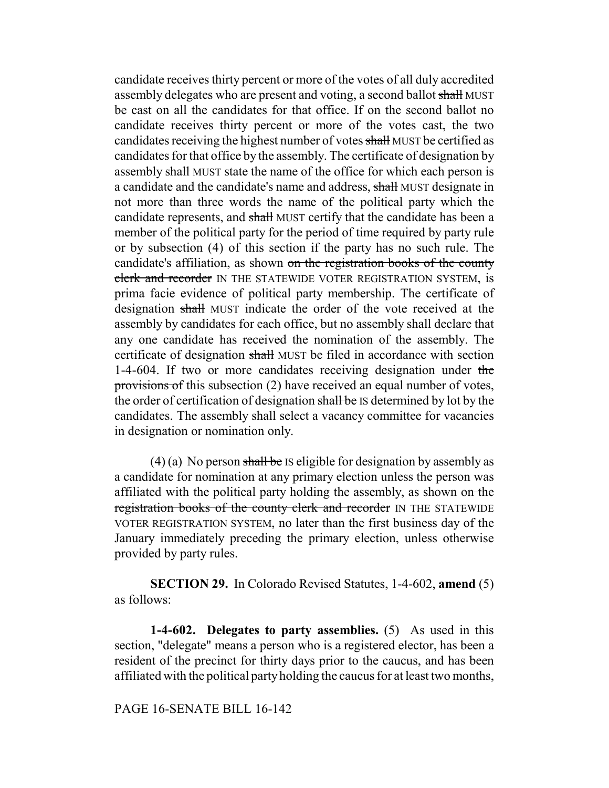candidate receives thirty percent or more of the votes of all duly accredited assembly delegates who are present and voting, a second ballot shall MUST be cast on all the candidates for that office. If on the second ballot no candidate receives thirty percent or more of the votes cast, the two candidates receiving the highest number of votes shall MUST be certified as candidates for that office by the assembly. The certificate of designation by assembly shall MUST state the name of the office for which each person is a candidate and the candidate's name and address, shall MUST designate in not more than three words the name of the political party which the candidate represents, and shall MUST certify that the candidate has been a member of the political party for the period of time required by party rule or by subsection (4) of this section if the party has no such rule. The candidate's affiliation, as shown on the registration books of the county clerk and recorder IN THE STATEWIDE VOTER REGISTRATION SYSTEM, is prima facie evidence of political party membership. The certificate of designation shall MUST indicate the order of the vote received at the assembly by candidates for each office, but no assembly shall declare that any one candidate has received the nomination of the assembly. The certificate of designation shall MUST be filed in accordance with section 1-4-604. If two or more candidates receiving designation under the provisions of this subsection (2) have received an equal number of votes, the order of certification of designation shall be IS determined by lot by the candidates. The assembly shall select a vacancy committee for vacancies in designation or nomination only.

 $(4)$  (a) No person shall be IS eligible for designation by assembly as a candidate for nomination at any primary election unless the person was affiliated with the political party holding the assembly, as shown on the registration books of the county clerk and recorder IN THE STATEWIDE VOTER REGISTRATION SYSTEM, no later than the first business day of the January immediately preceding the primary election, unless otherwise provided by party rules.

**SECTION 29.** In Colorado Revised Statutes, 1-4-602, **amend** (5) as follows:

**1-4-602. Delegates to party assemblies.** (5) As used in this section, "delegate" means a person who is a registered elector, has been a resident of the precinct for thirty days prior to the caucus, and has been affiliated with the political party holding the caucus for at least two months,

PAGE 16-SENATE BILL 16-142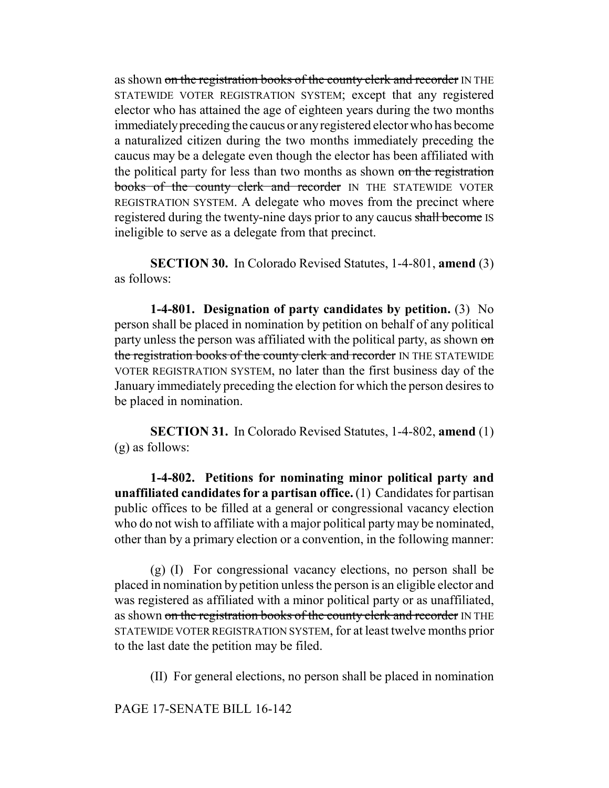as shown on the registration books of the county clerk and recorder IN THE STATEWIDE VOTER REGISTRATION SYSTEM; except that any registered elector who has attained the age of eighteen years during the two months immediately preceding the caucus or any registered elector who has become a naturalized citizen during the two months immediately preceding the caucus may be a delegate even though the elector has been affiliated with the political party for less than two months as shown on the registration books of the county clerk and recorder IN THE STATEWIDE VOTER REGISTRATION SYSTEM. A delegate who moves from the precinct where registered during the twenty-nine days prior to any caucus shall become IS ineligible to serve as a delegate from that precinct.

**SECTION 30.** In Colorado Revised Statutes, 1-4-801, **amend** (3) as follows:

**1-4-801. Designation of party candidates by petition.** (3) No person shall be placed in nomination by petition on behalf of any political party unless the person was affiliated with the political party, as shown on the registration books of the county clerk and recorder IN THE STATEWIDE VOTER REGISTRATION SYSTEM, no later than the first business day of the January immediately preceding the election for which the person desires to be placed in nomination.

**SECTION 31.** In Colorado Revised Statutes, 1-4-802, **amend** (1) (g) as follows:

**1-4-802. Petitions for nominating minor political party and unaffiliated candidates for a partisan office.** (1) Candidates for partisan public offices to be filled at a general or congressional vacancy election who do not wish to affiliate with a major political party may be nominated, other than by a primary election or a convention, in the following manner:

(g) (I) For congressional vacancy elections, no person shall be placed in nomination by petition unless the person is an eligible elector and was registered as affiliated with a minor political party or as unaffiliated, as shown on the registration books of the county clerk and recorder IN THE STATEWIDE VOTER REGISTRATION SYSTEM, for at least twelve months prior to the last date the petition may be filed.

(II) For general elections, no person shall be placed in nomination

PAGE 17-SENATE BILL 16-142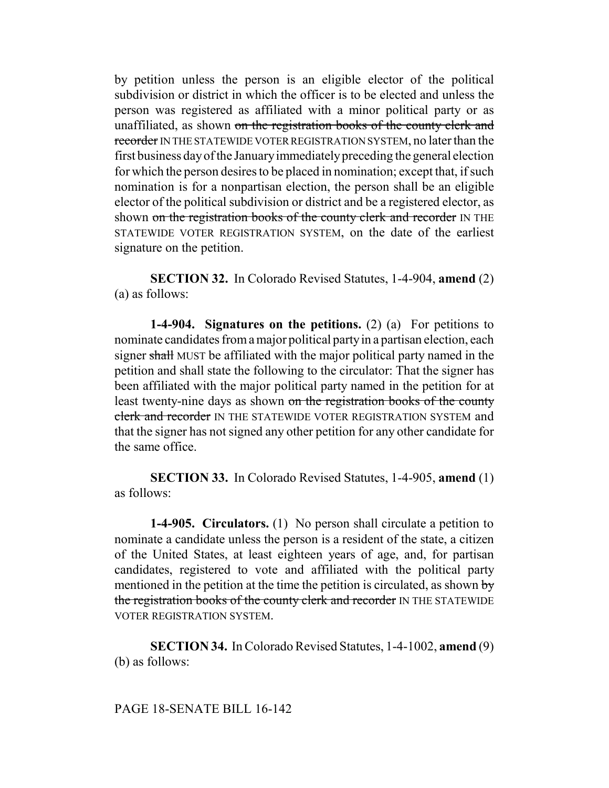by petition unless the person is an eligible elector of the political subdivision or district in which the officer is to be elected and unless the person was registered as affiliated with a minor political party or as unaffiliated, as shown on the registration books of the county clerk and recorder IN THE STATEWIDE VOTER REGISTRATION SYSTEM, no later than the first business day of the January immediately preceding the general election for which the person desires to be placed in nomination; except that, if such nomination is for a nonpartisan election, the person shall be an eligible elector of the political subdivision or district and be a registered elector, as shown on the registration books of the county clerk and recorder IN THE STATEWIDE VOTER REGISTRATION SYSTEM, on the date of the earliest signature on the petition.

**SECTION 32.** In Colorado Revised Statutes, 1-4-904, **amend** (2) (a) as follows:

**1-4-904. Signatures on the petitions.** (2) (a) For petitions to nominate candidates from a major political party in a partisan election, each signer shall MUST be affiliated with the major political party named in the petition and shall state the following to the circulator: That the signer has been affiliated with the major political party named in the petition for at least twenty-nine days as shown on the registration books of the county clerk and recorder IN THE STATEWIDE VOTER REGISTRATION SYSTEM and that the signer has not signed any other petition for any other candidate for the same office.

**SECTION 33.** In Colorado Revised Statutes, 1-4-905, **amend** (1) as follows:

**1-4-905. Circulators.** (1) No person shall circulate a petition to nominate a candidate unless the person is a resident of the state, a citizen of the United States, at least eighteen years of age, and, for partisan candidates, registered to vote and affiliated with the political party mentioned in the petition at the time the petition is circulated, as shown  $\frac{1}{y}$ the registration books of the county clerk and recorder IN THE STATEWIDE VOTER REGISTRATION SYSTEM.

**SECTION 34.** In Colorado Revised Statutes, 1-4-1002, **amend** (9) (b) as follows: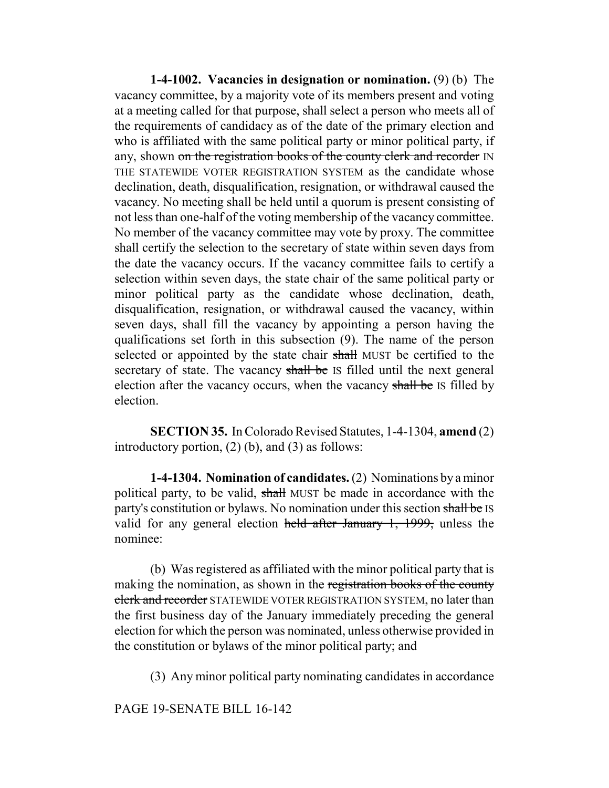**1-4-1002. Vacancies in designation or nomination.** (9) (b) The vacancy committee, by a majority vote of its members present and voting at a meeting called for that purpose, shall select a person who meets all of the requirements of candidacy as of the date of the primary election and who is affiliated with the same political party or minor political party, if any, shown on the registration books of the county clerk and recorder IN THE STATEWIDE VOTER REGISTRATION SYSTEM as the candidate whose declination, death, disqualification, resignation, or withdrawal caused the vacancy. No meeting shall be held until a quorum is present consisting of not less than one-half of the voting membership of the vacancy committee. No member of the vacancy committee may vote by proxy. The committee shall certify the selection to the secretary of state within seven days from the date the vacancy occurs. If the vacancy committee fails to certify a selection within seven days, the state chair of the same political party or minor political party as the candidate whose declination, death, disqualification, resignation, or withdrawal caused the vacancy, within seven days, shall fill the vacancy by appointing a person having the qualifications set forth in this subsection (9). The name of the person selected or appointed by the state chair shall MUST be certified to the secretary of state. The vacancy shall be IS filled until the next general election after the vacancy occurs, when the vacancy shall be IS filled by election.

**SECTION 35.** In Colorado Revised Statutes, 1-4-1304, **amend** (2) introductory portion, (2) (b), and (3) as follows:

**1-4-1304. Nomination of candidates.** (2) Nominations by a minor political party, to be valid, shall MUST be made in accordance with the party's constitution or bylaws. No nomination under this section shall be IS valid for any general election held after January 1, 1999, unless the nominee:

(b) Was registered as affiliated with the minor political party that is making the nomination, as shown in the registration books of the county clerk and recorder STATEWIDE VOTER REGISTRATION SYSTEM, no later than the first business day of the January immediately preceding the general election for which the person was nominated, unless otherwise provided in the constitution or bylaws of the minor political party; and

(3) Any minor political party nominating candidates in accordance

PAGE 19-SENATE BILL 16-142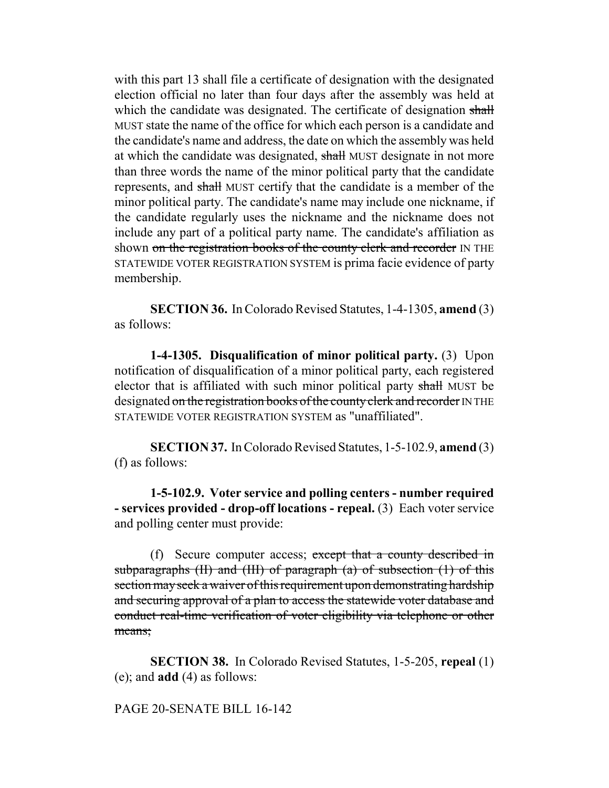with this part 13 shall file a certificate of designation with the designated election official no later than four days after the assembly was held at which the candidate was designated. The certificate of designation shall MUST state the name of the office for which each person is a candidate and the candidate's name and address, the date on which the assembly was held at which the candidate was designated, shall MUST designate in not more than three words the name of the minor political party that the candidate represents, and shall MUST certify that the candidate is a member of the minor political party. The candidate's name may include one nickname, if the candidate regularly uses the nickname and the nickname does not include any part of a political party name. The candidate's affiliation as shown on the registration books of the county clerk and recorder IN THE STATEWIDE VOTER REGISTRATION SYSTEM is prima facie evidence of party membership.

**SECTION 36.** In Colorado Revised Statutes, 1-4-1305, **amend** (3) as follows:

**1-4-1305. Disqualification of minor political party.** (3) Upon notification of disqualification of a minor political party, each registered elector that is affiliated with such minor political party shall MUST be designated on the registration books of the county clerk and recorder IN THE STATEWIDE VOTER REGISTRATION SYSTEM as "unaffiliated".

**SECTION 37.** In Colorado Revised Statutes, 1-5-102.9, **amend** (3) (f) as follows:

**1-5-102.9. Voter service and polling centers - number required - services provided - drop-off locations - repeal.** (3) Each voter service and polling center must provide:

(f) Secure computer access; except that a county described in subparagraphs  $(H)$  and  $(H)$  of paragraph  $(a)$  of subsection  $(1)$  of this section may seek a waiver of this requirement upon demonstrating hardship and securing approval of a plan to access the statewide voter database and conduct real-time verification of voter eligibility via telephone or other means:

**SECTION 38.** In Colorado Revised Statutes, 1-5-205, **repeal** (1) (e); and **add** (4) as follows:

## PAGE 20-SENATE BILL 16-142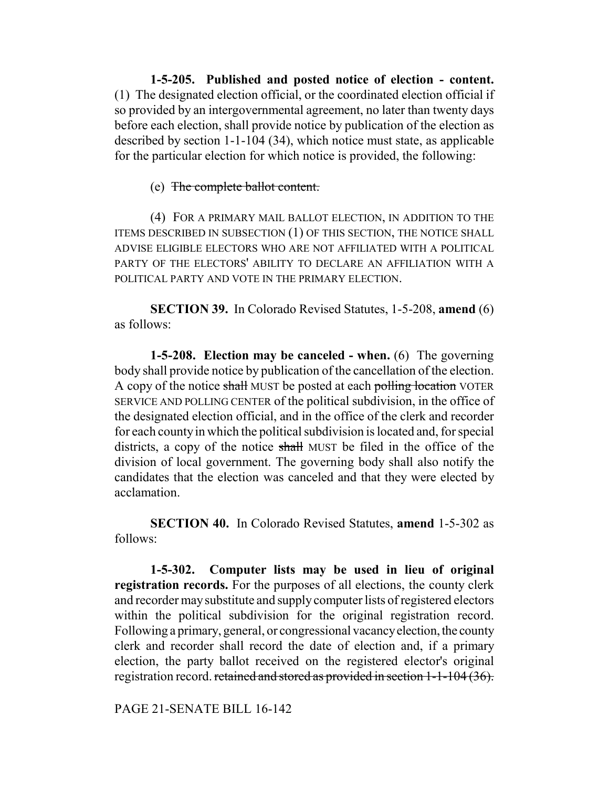**1-5-205. Published and posted notice of election - content.** (1) The designated election official, or the coordinated election official if so provided by an intergovernmental agreement, no later than twenty days before each election, shall provide notice by publication of the election as described by section 1-1-104 (34), which notice must state, as applicable for the particular election for which notice is provided, the following:

#### (e) The complete ballot content.

(4) FOR A PRIMARY MAIL BALLOT ELECTION, IN ADDITION TO THE ITEMS DESCRIBED IN SUBSECTION (1) OF THIS SECTION, THE NOTICE SHALL ADVISE ELIGIBLE ELECTORS WHO ARE NOT AFFILIATED WITH A POLITICAL PARTY OF THE ELECTORS' ABILITY TO DECLARE AN AFFILIATION WITH A POLITICAL PARTY AND VOTE IN THE PRIMARY ELECTION.

**SECTION 39.** In Colorado Revised Statutes, 1-5-208, **amend** (6) as follows:

**1-5-208. Election may be canceled - when.** (6) The governing body shall provide notice by publication of the cancellation of the election. A copy of the notice shall MUST be posted at each polling location VOTER SERVICE AND POLLING CENTER of the political subdivision, in the office of the designated election official, and in the office of the clerk and recorder for each county in which the political subdivision is located and, for special districts, a copy of the notice shall MUST be filed in the office of the division of local government. The governing body shall also notify the candidates that the election was canceled and that they were elected by acclamation.

**SECTION 40.** In Colorado Revised Statutes, **amend** 1-5-302 as follows:

**1-5-302. Computer lists may be used in lieu of original registration records.** For the purposes of all elections, the county clerk and recorder may substitute and supply computer lists of registered electors within the political subdivision for the original registration record. Following a primary, general, or congressional vacancy election, the county clerk and recorder shall record the date of election and, if a primary election, the party ballot received on the registered elector's original registration record. retained and stored as provided in section 1-1-104 (36).

PAGE 21-SENATE BILL 16-142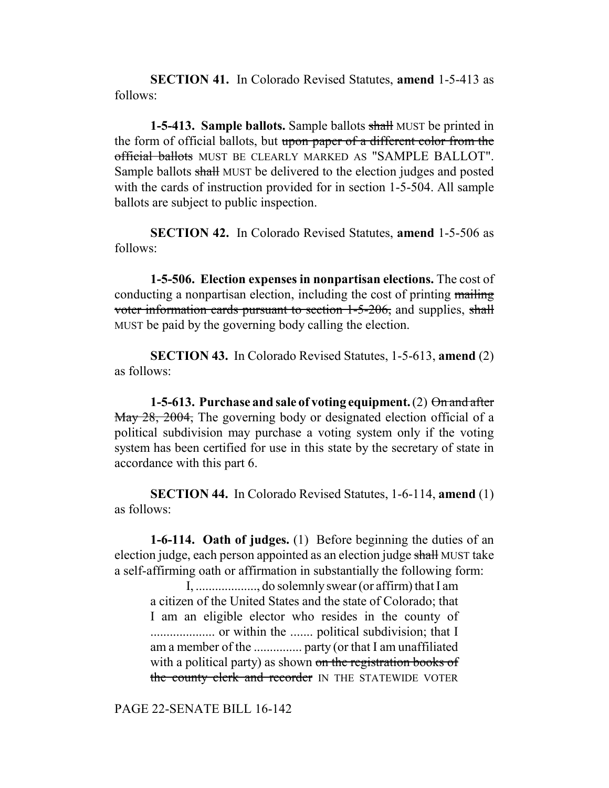**SECTION 41.** In Colorado Revised Statutes, **amend** 1-5-413 as follows:

**1-5-413. Sample ballots.** Sample ballots shall MUST be printed in the form of official ballots, but upon paper of a different color from the official ballots MUST BE CLEARLY MARKED AS "SAMPLE BALLOT". Sample ballots shall MUST be delivered to the election judges and posted with the cards of instruction provided for in section 1-5-504. All sample ballots are subject to public inspection.

**SECTION 42.** In Colorado Revised Statutes, **amend** 1-5-506 as follows:

**1-5-506. Election expenses in nonpartisan elections.** The cost of conducting a nonpartisan election, including the cost of printing mailing voter information cards pursuant to section 1-5-206, and supplies, shall MUST be paid by the governing body calling the election.

**SECTION 43.** In Colorado Revised Statutes, 1-5-613, **amend** (2) as follows:

**1-5-613. Purchase and sale of voting equipment.** (2) On and after May 28, 2004, The governing body or designated election official of a political subdivision may purchase a voting system only if the voting system has been certified for use in this state by the secretary of state in accordance with this part 6.

**SECTION 44.** In Colorado Revised Statutes, 1-6-114, **amend** (1) as follows:

**1-6-114. Oath of judges.** (1) Before beginning the duties of an election judge, each person appointed as an election judge shall MUST take a self-affirming oath or affirmation in substantially the following form:

I, ..................., do solemnly swear (or affirm) that I am a citizen of the United States and the state of Colorado; that I am an eligible elector who resides in the county of .................... or within the ....... political subdivision; that I am a member of the ............... party (or that I am unaffiliated with a political party) as shown on the registration books of the county clerk and recorder IN THE STATEWIDE VOTER

PAGE 22-SENATE BILL 16-142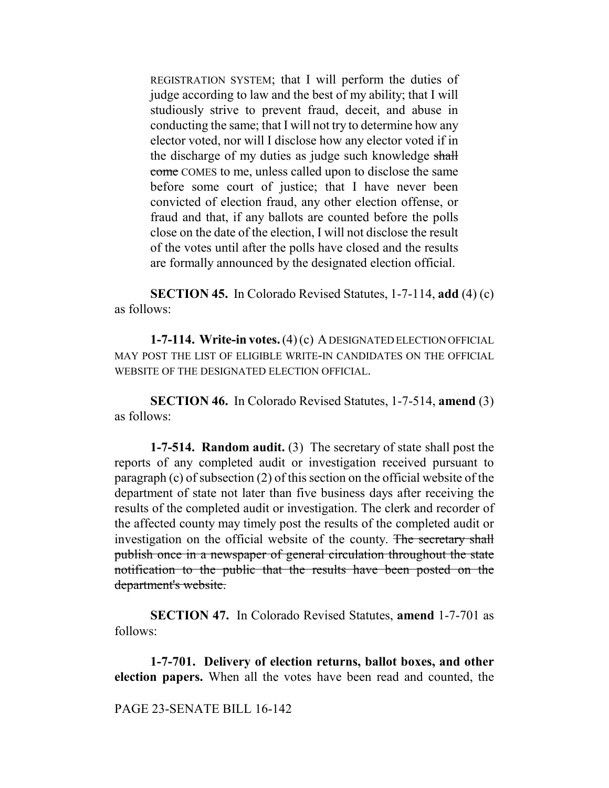REGISTRATION SYSTEM; that I will perform the duties of judge according to law and the best of my ability; that I will studiously strive to prevent fraud, deceit, and abuse in conducting the same; that I will not try to determine how any elector voted, nor will I disclose how any elector voted if in the discharge of my duties as judge such knowledge shall come COMES to me, unless called upon to disclose the same before some court of justice; that I have never been convicted of election fraud, any other election offense, or fraud and that, if any ballots are counted before the polls close on the date of the election, I will not disclose the result of the votes until after the polls have closed and the results are formally announced by the designated election official.

**SECTION 45.** In Colorado Revised Statutes, 1-7-114, **add** (4) (c) as follows:

**1-7-114. Write-in votes.** (4) (c) A DESIGNATED ELECTION OFFICIAL MAY POST THE LIST OF ELIGIBLE WRITE-IN CANDIDATES ON THE OFFICIAL WEBSITE OF THE DESIGNATED ELECTION OFFICIAL.

**SECTION 46.** In Colorado Revised Statutes, 1-7-514, **amend** (3) as follows:

**1-7-514. Random audit.** (3) The secretary of state shall post the reports of any completed audit or investigation received pursuant to paragraph (c) of subsection (2) of this section on the official website of the department of state not later than five business days after receiving the results of the completed audit or investigation. The clerk and recorder of the affected county may timely post the results of the completed audit or investigation on the official website of the county. The secretary shall publish once in a newspaper of general circulation throughout the state notification to the public that the results have been posted on the department's website.

**SECTION 47.** In Colorado Revised Statutes, **amend** 1-7-701 as follows:

**1-7-701. Delivery of election returns, ballot boxes, and other election papers.** When all the votes have been read and counted, the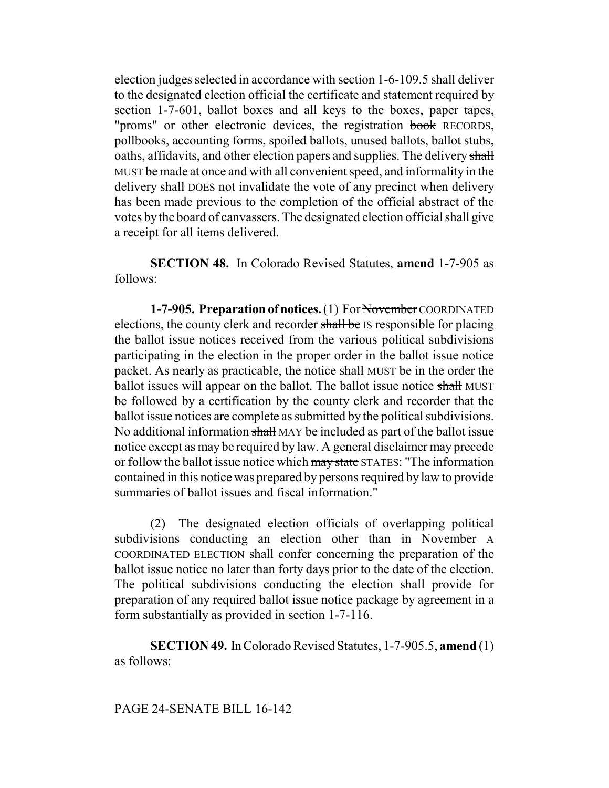election judges selected in accordance with section 1-6-109.5 shall deliver to the designated election official the certificate and statement required by section 1-7-601, ballot boxes and all keys to the boxes, paper tapes, "proms" or other electronic devices, the registration book RECORDS, pollbooks, accounting forms, spoiled ballots, unused ballots, ballot stubs, oaths, affidavits, and other election papers and supplies. The delivery shall MUST be made at once and with all convenient speed, and informality in the delivery shall DOES not invalidate the vote of any precinct when delivery has been made previous to the completion of the official abstract of the votes by the board of canvassers. The designated election official shall give a receipt for all items delivered.

**SECTION 48.** In Colorado Revised Statutes, **amend** 1-7-905 as follows:

**1-7-905. Preparation of notices.** (1) For November COORDINATED elections, the county clerk and recorder shall be IS responsible for placing the ballot issue notices received from the various political subdivisions participating in the election in the proper order in the ballot issue notice packet. As nearly as practicable, the notice shall MUST be in the order the ballot issues will appear on the ballot. The ballot issue notice shall MUST be followed by a certification by the county clerk and recorder that the ballot issue notices are complete as submitted by the political subdivisions. No additional information shall MAY be included as part of the ballot issue notice except as may be required by law. A general disclaimer may precede or follow the ballot issue notice which may state STATES: "The information contained in this notice was prepared by persons required by law to provide summaries of ballot issues and fiscal information."

(2) The designated election officials of overlapping political subdivisions conducting an election other than in November A COORDINATED ELECTION shall confer concerning the preparation of the ballot issue notice no later than forty days prior to the date of the election. The political subdivisions conducting the election shall provide for preparation of any required ballot issue notice package by agreement in a form substantially as provided in section 1-7-116.

**SECTION 49.** In Colorado Revised Statutes, 1-7-905.5, **amend** (1) as follows:

#### PAGE 24-SENATE BILL 16-142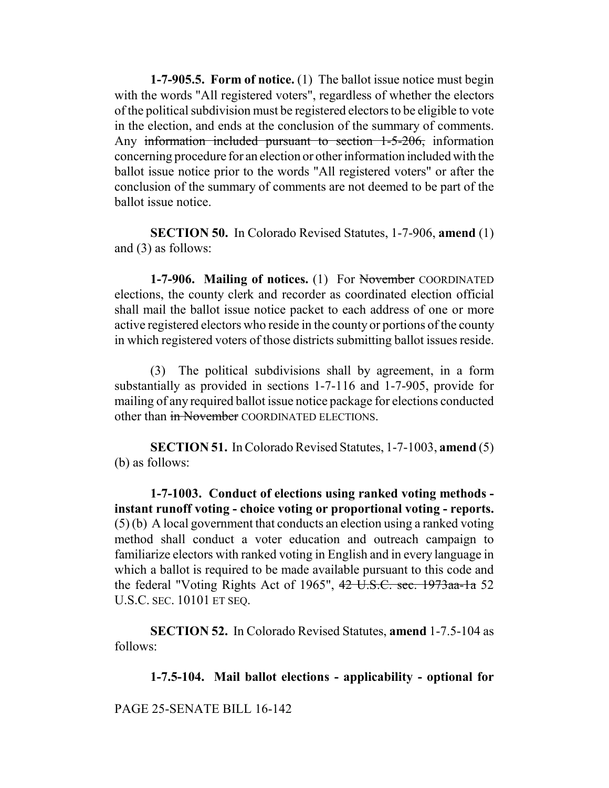**1-7-905.5. Form of notice.** (1) The ballot issue notice must begin with the words "All registered voters", regardless of whether the electors of the political subdivision must be registered electors to be eligible to vote in the election, and ends at the conclusion of the summary of comments. Any information included pursuant to section 1-5-206, information concerning procedure for an election or other information included with the ballot issue notice prior to the words "All registered voters" or after the conclusion of the summary of comments are not deemed to be part of the ballot issue notice.

**SECTION 50.** In Colorado Revised Statutes, 1-7-906, **amend** (1) and (3) as follows:

**1-7-906. Mailing of notices.** (1) For November COORDINATED elections, the county clerk and recorder as coordinated election official shall mail the ballot issue notice packet to each address of one or more active registered electors who reside in the county or portions of the county in which registered voters of those districts submitting ballot issues reside.

(3) The political subdivisions shall by agreement, in a form substantially as provided in sections 1-7-116 and 1-7-905, provide for mailing of any required ballot issue notice package for elections conducted other than in November COORDINATED ELECTIONS.

**SECTION 51.** In Colorado Revised Statutes, 1-7-1003, **amend** (5) (b) as follows:

**1-7-1003. Conduct of elections using ranked voting methods instant runoff voting - choice voting or proportional voting - reports.** (5) (b) A local government that conducts an election using a ranked voting method shall conduct a voter education and outreach campaign to familiarize electors with ranked voting in English and in every language in which a ballot is required to be made available pursuant to this code and the federal "Voting Rights Act of 1965", 42 U.S.C. sec. 1973aa-1a 52 U.S.C. SEC. 10101 ET SEQ.

**SECTION 52.** In Colorado Revised Statutes, **amend** 1-7.5-104 as follows:

**1-7.5-104. Mail ballot elections - applicability - optional for**

PAGE 25-SENATE BILL 16-142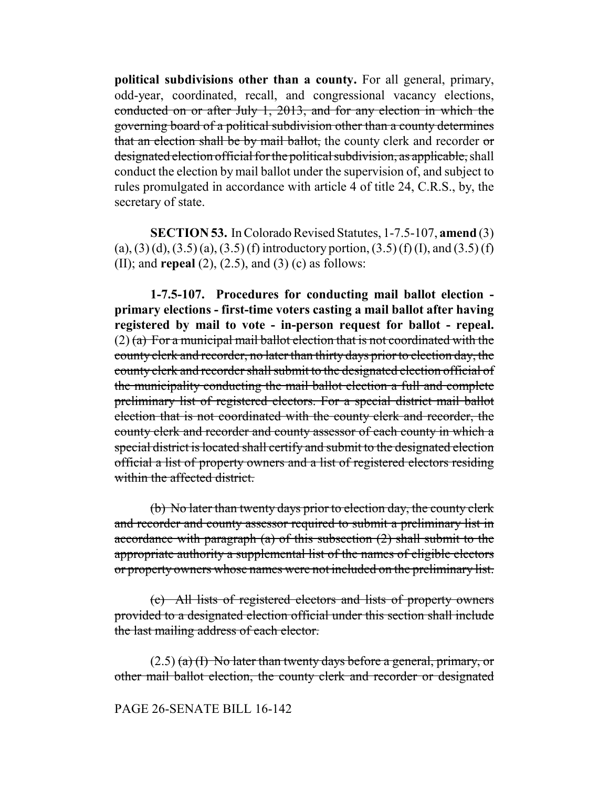**political subdivisions other than a county.** For all general, primary, odd-year, coordinated, recall, and congressional vacancy elections, conducted on or after July 1, 2013, and for any election in which the governing board of a political subdivision other than a county determines that an election shall be by mail ballot, the county clerk and recorder or designated election official for the political subdivision, as applicable, shall conduct the election by mail ballot under the supervision of, and subject to rules promulgated in accordance with article 4 of title 24, C.R.S., by, the secretary of state.

**SECTION 53.** In Colorado Revised Statutes, 1-7.5-107, **amend** (3) (a), (3) (d), (3.5) (a), (3.5) (f) introductory portion, (3.5) (f) (I), and (3.5) (f) (II); and **repeal** (2), (2.5), and (3) (c) as follows:

**1-7.5-107. Procedures for conducting mail ballot election primary elections - first-time voters casting a mail ballot after having registered by mail to vote - in-person request for ballot - repeal.**  $(2)$  (a) For a municipal mail ballot election that is not coordinated with the county clerk and recorder, no later than thirty days prior to election day, the county clerk and recorder shall submit to the designated election official of the municipality conducting the mail ballot election a full and complete preliminary list of registered electors. For a special district mail ballot election that is not coordinated with the county clerk and recorder, the county clerk and recorder and county assessor of each county in which a special district is located shall certify and submit to the designated election official a list of property owners and a list of registered electors residing within the affected district.

(b) No later than twenty days prior to election day, the county clerk and recorder and county assessor required to submit a preliminary list in accordance with paragraph (a) of this subsection (2) shall submit to the appropriate authority a supplemental list of the names of eligible electors or property owners whose names were not included on the preliminary list.

(c) All lists of registered electors and lists of property owners provided to a designated election official under this section shall include the last mailing address of each elector.

 $(2.5)$  (a) (I) No later than twenty days before a general, primary, or other mail ballot election, the county clerk and recorder or designated

## PAGE 26-SENATE BILL 16-142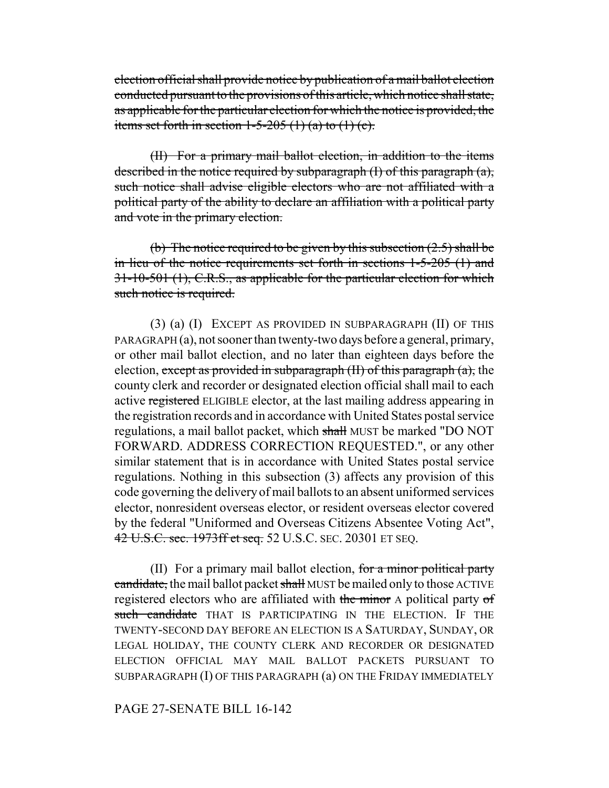election official shall provide notice by publication of a mail ballot election conducted pursuant to the provisions of this article, which notice shall state, as applicable for the particular election for which the notice is provided, the items set forth in section  $1-5-205$  (1) (a) to (1) (c).

(II) For a primary mail ballot election, in addition to the items described in the notice required by subparagraph (I) of this paragraph (a), such notice shall advise eligible electors who are not affiliated with a political party of the ability to declare an affiliation with a political party and vote in the primary election.

(b) The notice required to be given by this subsection  $(2.5)$  shall be in lieu of the notice requirements set forth in sections 1-5-205 (1) and 31-10-501 (1), C.R.S., as applicable for the particular election for which such notice is required.

(3) (a) (I) EXCEPT AS PROVIDED IN SUBPARAGRAPH (II) OF THIS PARAGRAPH (a), not sooner than twenty-two days before a general, primary, or other mail ballot election, and no later than eighteen days before the election, except as provided in subparagraph  $(H)$  of this paragraph  $(a)$ , the county clerk and recorder or designated election official shall mail to each active registered ELIGIBLE elector, at the last mailing address appearing in the registration records and in accordance with United States postal service regulations, a mail ballot packet, which shall MUST be marked "DO NOT FORWARD. ADDRESS CORRECTION REQUESTED.", or any other similar statement that is in accordance with United States postal service regulations. Nothing in this subsection (3) affects any provision of this code governing the delivery of mail ballots to an absent uniformed services elector, nonresident overseas elector, or resident overseas elector covered by the federal "Uniformed and Overseas Citizens Absentee Voting Act", 42 U.S.C. sec. 1973ff et seq. 52 U.S.C. SEC. 20301 ET SEQ.

(II) For a primary mail ballot election, for a minor political party candidate, the mail ballot packet shall MUST be mailed only to those ACTIVE registered electors who are affiliated with the minor A political party of such candidate THAT IS PARTICIPATING IN THE ELECTION. IF THE TWENTY-SECOND DAY BEFORE AN ELECTION IS A SATURDAY, SUNDAY, OR LEGAL HOLIDAY, THE COUNTY CLERK AND RECORDER OR DESIGNATED ELECTION OFFICIAL MAY MAIL BALLOT PACKETS PURSUANT TO SUBPARAGRAPH (I) OF THIS PARAGRAPH (a) ON THE FRIDAY IMMEDIATELY

PAGE 27-SENATE BILL 16-142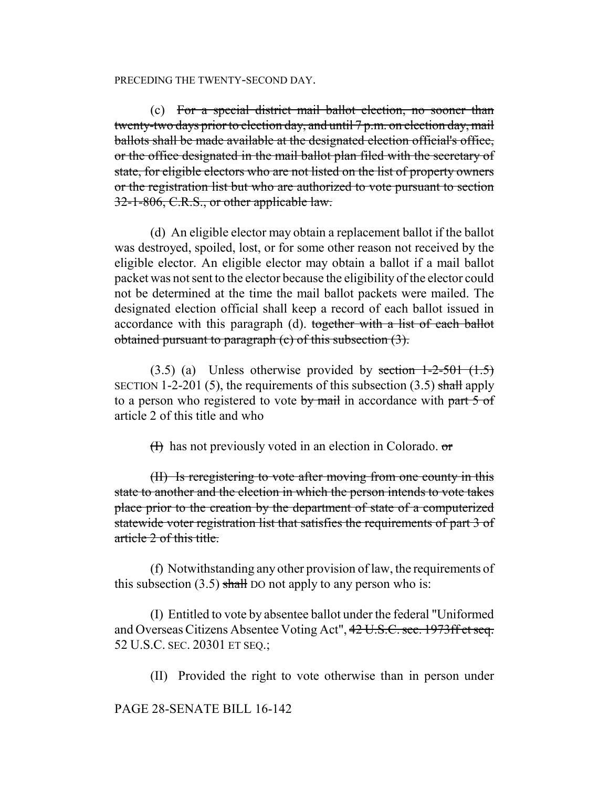#### PRECEDING THE TWENTY-SECOND DAY.

(c) For a special district mail ballot election, no sooner than twenty-two days prior to election day, and until 7 p.m. on election day, mail ballots shall be made available at the designated election official's office, or the office designated in the mail ballot plan filed with the secretary of state, for eligible electors who are not listed on the list of property owners or the registration list but who are authorized to vote pursuant to section 32-1-806, C.R.S., or other applicable law.

(d) An eligible elector may obtain a replacement ballot if the ballot was destroyed, spoiled, lost, or for some other reason not received by the eligible elector. An eligible elector may obtain a ballot if a mail ballot packet was not sent to the elector because the eligibility of the elector could not be determined at the time the mail ballot packets were mailed. The designated election official shall keep a record of each ballot issued in accordance with this paragraph (d). together with a list of each ballot obtained pursuant to paragraph (c) of this subsection (3).

 $(3.5)$  (a) Unless otherwise provided by section  $1-2-501$   $(1.5)$ SECTION 1-2-201 (5), the requirements of this subsection  $(3.5)$  shall apply to a person who registered to vote by mail in accordance with part 5 of article 2 of this title and who

 $(H)$  has not previously voted in an election in Colorado.  $\sigma$ 

(II) Is reregistering to vote after moving from one county in this state to another and the election in which the person intends to vote takes place prior to the creation by the department of state of a computerized statewide voter registration list that satisfies the requirements of part 3 of article 2 of this title.

(f) Notwithstanding any other provision of law, the requirements of this subsection  $(3.5)$  shall DO not apply to any person who is:

(I) Entitled to vote by absentee ballot under the federal "Uniformed and Overseas Citizens Absentee Voting Act", 42 U.S.C. sec. 1973ff et seq. 52 U.S.C. SEC. 20301 ET SEQ.;

(II) Provided the right to vote otherwise than in person under

## PAGE 28-SENATE BILL 16-142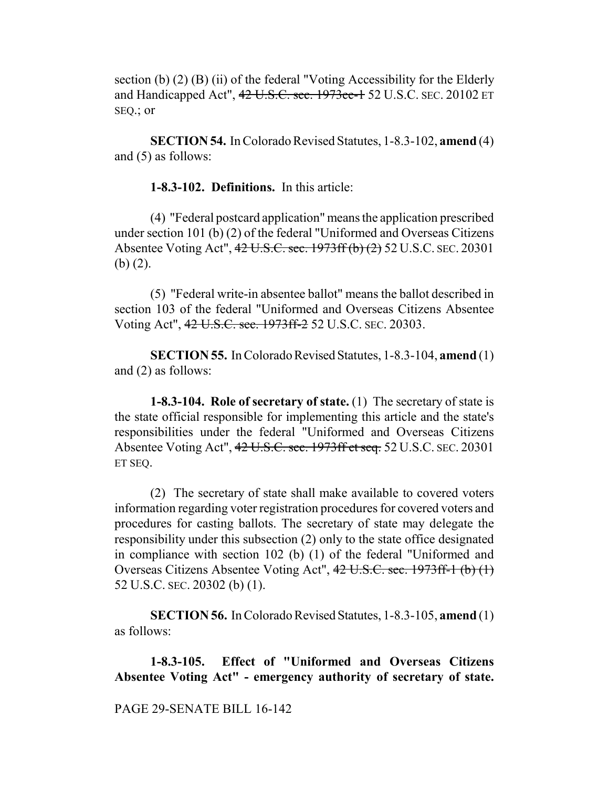section (b)  $(2)$  (B) (ii) of the federal "Voting Accessibility for the Elderly and Handicapped Act", 42 U.S.C. sec. 1973ee-1 52 U.S.C. SEC. 20102 ET SEQ.; or

**SECTION 54.** In Colorado Revised Statutes, 1-8.3-102, **amend** (4) and (5) as follows:

**1-8.3-102. Definitions.** In this article:

(4) "Federal postcard application" means the application prescribed under section 101 (b) (2) of the federal "Uniformed and Overseas Citizens Absentee Voting Act", 42 U.S.C. sec. 1973ff (b) (2) 52 U.S.C. SEC. 20301 (b) (2).

(5) "Federal write-in absentee ballot" means the ballot described in section 103 of the federal "Uniformed and Overseas Citizens Absentee Voting Act", 42 U.S.C. sec. 1973ff-2 52 U.S.C. SEC. 20303.

**SECTION 55.** In Colorado Revised Statutes, 1-8.3-104, **amend** (1) and (2) as follows:

**1-8.3-104. Role of secretary of state.** (1) The secretary of state is the state official responsible for implementing this article and the state's responsibilities under the federal "Uniformed and Overseas Citizens Absentee Voting Act", 42 U.S.C. sec. 1973ff et seq. 52 U.S.C. SEC. 20301 ET SEQ.

(2) The secretary of state shall make available to covered voters information regarding voter registration procedures for covered voters and procedures for casting ballots. The secretary of state may delegate the responsibility under this subsection (2) only to the state office designated in compliance with section 102 (b) (1) of the federal "Uniformed and Overseas Citizens Absentee Voting Act", 42 U.S.C. sec. 1973ff-1 (b) (1) 52 U.S.C. SEC. 20302 (b) (1).

**SECTION 56.** In Colorado Revised Statutes, 1-8.3-105, **amend** (1) as follows:

**1-8.3-105. Effect of "Uniformed and Overseas Citizens Absentee Voting Act" - emergency authority of secretary of state.**

PAGE 29-SENATE BILL 16-142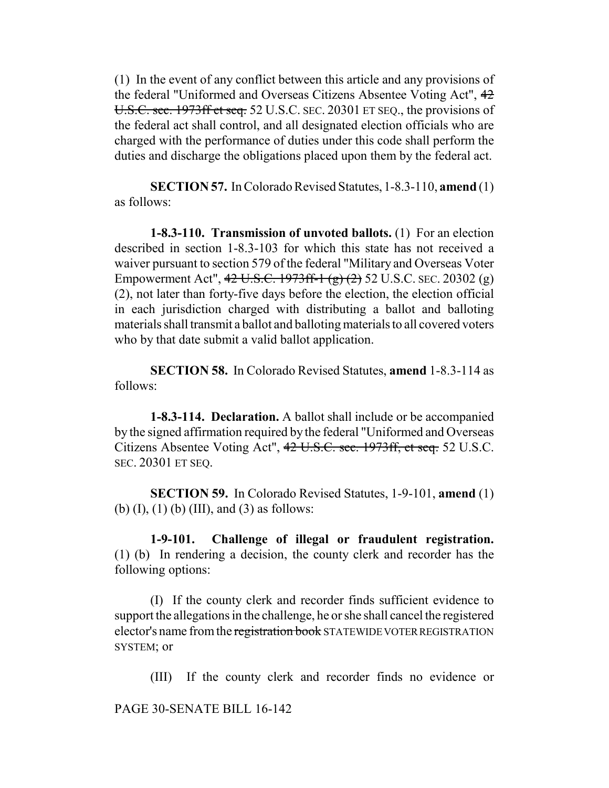(1) In the event of any conflict between this article and any provisions of the federal "Uniformed and Overseas Citizens Absentee Voting Act", 42 U.S.C. sec. 1973ff et seq. 52 U.S.C. SEC. 20301 ET SEQ., the provisions of the federal act shall control, and all designated election officials who are charged with the performance of duties under this code shall perform the duties and discharge the obligations placed upon them by the federal act.

**SECTION 57.** In Colorado Revised Statutes, 1-8.3-110, **amend** (1) as follows:

**1-8.3-110. Transmission of unvoted ballots.** (1) For an election described in section 1-8.3-103 for which this state has not received a waiver pursuant to section 579 of the federal "Military and Overseas Voter Empowerment Act", 42 U.S.C. 1973ff-1 (g) (2) 52 U.S.C. SEC. 20302 (g) (2), not later than forty-five days before the election, the election official in each jurisdiction charged with distributing a ballot and balloting materials shall transmit a ballot and balloting materials to all covered voters who by that date submit a valid ballot application.

**SECTION 58.** In Colorado Revised Statutes, **amend** 1-8.3-114 as follows:

**1-8.3-114. Declaration.** A ballot shall include or be accompanied by the signed affirmation required by the federal "Uniformed and Overseas Citizens Absentee Voting Act", 42 U.S.C. sec. 1973ff, et seq. 52 U.S.C. SEC. 20301 ET SEQ.

**SECTION 59.** In Colorado Revised Statutes, 1-9-101, **amend** (1) (b)  $(I)$ ,  $(I)$   $(b)$   $(III)$ , and  $(3)$  as follows:

**1-9-101. Challenge of illegal or fraudulent registration.** (1) (b) In rendering a decision, the county clerk and recorder has the following options:

(I) If the county clerk and recorder finds sufficient evidence to support the allegations in the challenge, he or she shall cancel the registered elector's name from the registration book STATEWIDE VOTER REGISTRATION SYSTEM; or

(III) If the county clerk and recorder finds no evidence or

PAGE 30-SENATE BILL 16-142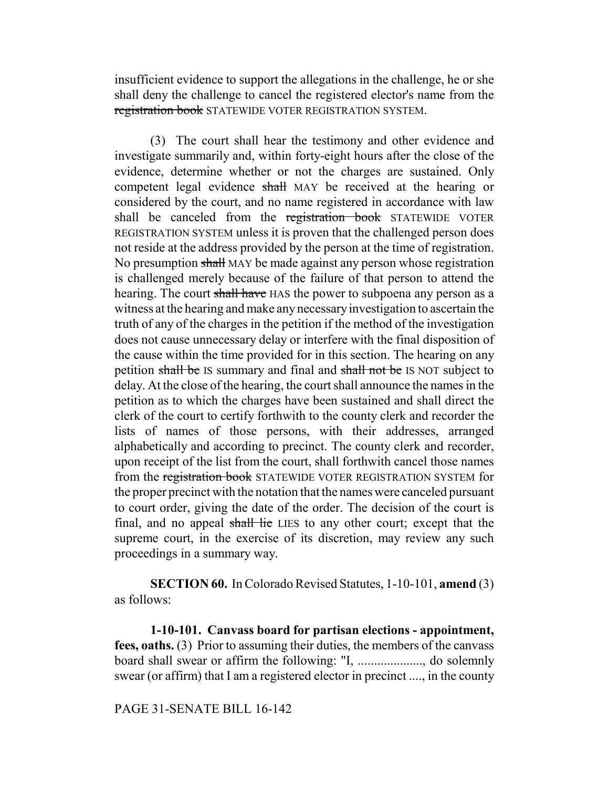insufficient evidence to support the allegations in the challenge, he or she shall deny the challenge to cancel the registered elector's name from the registration book STATEWIDE VOTER REGISTRATION SYSTEM.

(3) The court shall hear the testimony and other evidence and investigate summarily and, within forty-eight hours after the close of the evidence, determine whether or not the charges are sustained. Only competent legal evidence shall MAY be received at the hearing or considered by the court, and no name registered in accordance with law shall be canceled from the registration book STATEWIDE VOTER REGISTRATION SYSTEM unless it is proven that the challenged person does not reside at the address provided by the person at the time of registration. No presumption shall MAY be made against any person whose registration is challenged merely because of the failure of that person to attend the hearing. The court shall have HAS the power to subpoena any person as a witness at the hearing and make any necessary investigation to ascertain the truth of any of the charges in the petition if the method of the investigation does not cause unnecessary delay or interfere with the final disposition of the cause within the time provided for in this section. The hearing on any petition shall be IS summary and final and shall not be IS NOT subject to delay. At the close of the hearing, the court shall announce the names in the petition as to which the charges have been sustained and shall direct the clerk of the court to certify forthwith to the county clerk and recorder the lists of names of those persons, with their addresses, arranged alphabetically and according to precinct. The county clerk and recorder, upon receipt of the list from the court, shall forthwith cancel those names from the registration book STATEWIDE VOTER REGISTRATION SYSTEM for the proper precinct with the notation that the names were canceled pursuant to court order, giving the date of the order. The decision of the court is final, and no appeal shall lie LIES to any other court; except that the supreme court, in the exercise of its discretion, may review any such proceedings in a summary way.

**SECTION 60.** In Colorado Revised Statutes, 1-10-101, **amend** (3) as follows:

**1-10-101. Canvass board for partisan elections - appointment, fees, oaths.** (3) Prior to assuming their duties, the members of the canvass board shall swear or affirm the following: "I, ...................., do solemnly swear (or affirm) that I am a registered elector in precinct ...., in the county

#### PAGE 31-SENATE BILL 16-142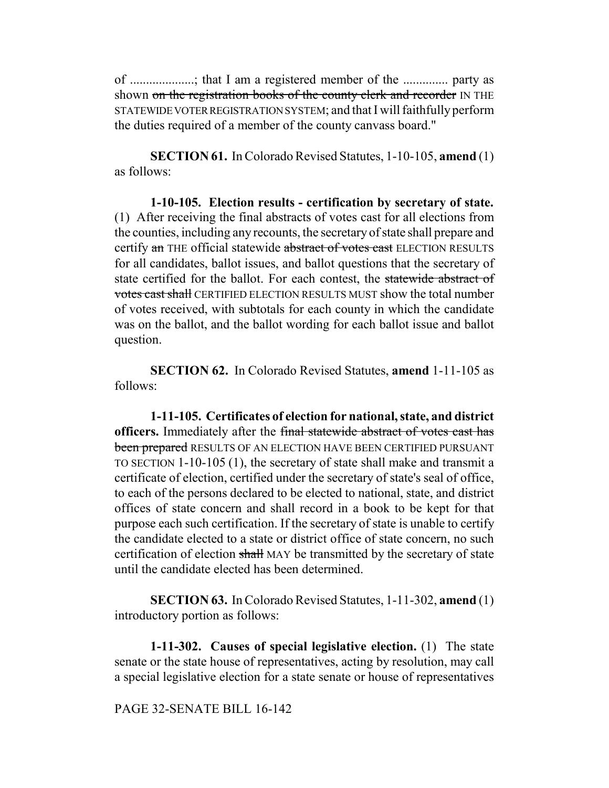of ....................; that I am a registered member of the .............. party as shown on the registration books of the county clerk and recorder IN THE STATEWIDE VOTER REGISTRATION SYSTEM; and that I will faithfully perform the duties required of a member of the county canvass board."

**SECTION 61.** In Colorado Revised Statutes, 1-10-105, **amend** (1) as follows:

**1-10-105. Election results - certification by secretary of state.** (1) After receiving the final abstracts of votes cast for all elections from the counties, including any recounts, the secretary of state shall prepare and certify an THE official statewide abstract of votes cast ELECTION RESULTS for all candidates, ballot issues, and ballot questions that the secretary of state certified for the ballot. For each contest, the statewide abstract of votes cast shall CERTIFIED ELECTION RESULTS MUST show the total number of votes received, with subtotals for each county in which the candidate was on the ballot, and the ballot wording for each ballot issue and ballot question.

**SECTION 62.** In Colorado Revised Statutes, **amend** 1-11-105 as follows:

**1-11-105. Certificates of election for national, state, and district officers.** Immediately after the final statewide abstract of votes cast has been prepared RESULTS OF AN ELECTION HAVE BEEN CERTIFIED PURSUANT TO SECTION 1-10-105 (1), the secretary of state shall make and transmit a certificate of election, certified under the secretary of state's seal of office, to each of the persons declared to be elected to national, state, and district offices of state concern and shall record in a book to be kept for that purpose each such certification. If the secretary of state is unable to certify the candidate elected to a state or district office of state concern, no such certification of election shall MAY be transmitted by the secretary of state until the candidate elected has been determined.

**SECTION 63.** In Colorado Revised Statutes, 1-11-302, **amend** (1) introductory portion as follows:

**1-11-302. Causes of special legislative election.** (1) The state senate or the state house of representatives, acting by resolution, may call a special legislative election for a state senate or house of representatives

## PAGE 32-SENATE BILL 16-142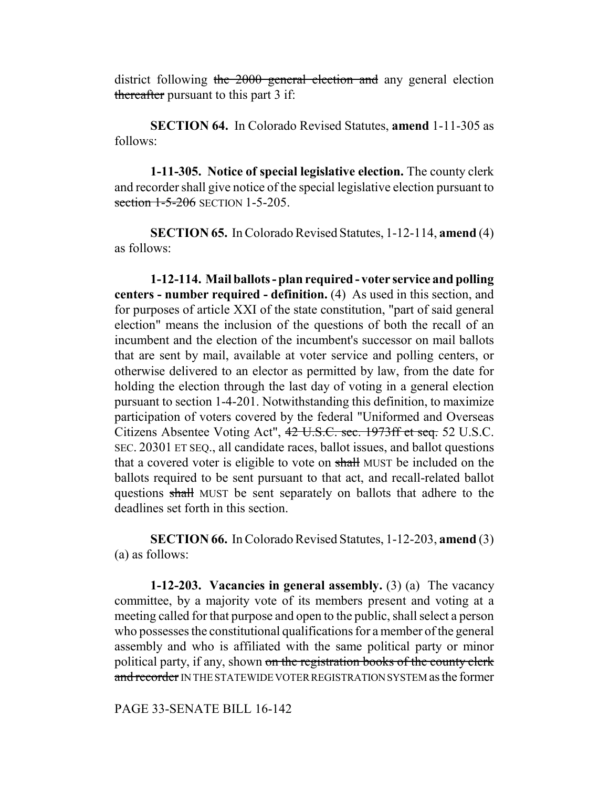district following the 2000 general election and any general election thereafter pursuant to this part 3 if:

**SECTION 64.** In Colorado Revised Statutes, **amend** 1-11-305 as follows:

**1-11-305. Notice of special legislative election.** The county clerk and recorder shall give notice of the special legislative election pursuant to section 1-5-206 SECTION 1-5-205.

**SECTION 65.** In Colorado Revised Statutes, 1-12-114, **amend** (4) as follows:

**1-12-114. Mail ballots - plan required - voter service and polling centers - number required - definition.** (4) As used in this section, and for purposes of article XXI of the state constitution, "part of said general election" means the inclusion of the questions of both the recall of an incumbent and the election of the incumbent's successor on mail ballots that are sent by mail, available at voter service and polling centers, or otherwise delivered to an elector as permitted by law, from the date for holding the election through the last day of voting in a general election pursuant to section 1-4-201. Notwithstanding this definition, to maximize participation of voters covered by the federal "Uniformed and Overseas Citizens Absentee Voting Act", 42 U.S.C. sec. 1973ff et seq. 52 U.S.C. SEC. 20301 ET SEQ., all candidate races, ballot issues, and ballot questions that a covered voter is eligible to vote on shall MUST be included on the ballots required to be sent pursuant to that act, and recall-related ballot questions shall MUST be sent separately on ballots that adhere to the deadlines set forth in this section.

**SECTION 66.** In Colorado Revised Statutes, 1-12-203, **amend** (3) (a) as follows:

**1-12-203. Vacancies in general assembly.** (3) (a) The vacancy committee, by a majority vote of its members present and voting at a meeting called for that purpose and open to the public, shall select a person who possesses the constitutional qualifications for a member of the general assembly and who is affiliated with the same political party or minor political party, if any, shown on the registration books of the county clerk and recorder IN THE STATEWIDE VOTER REGISTRATION SYSTEM as the former

PAGE 33-SENATE BILL 16-142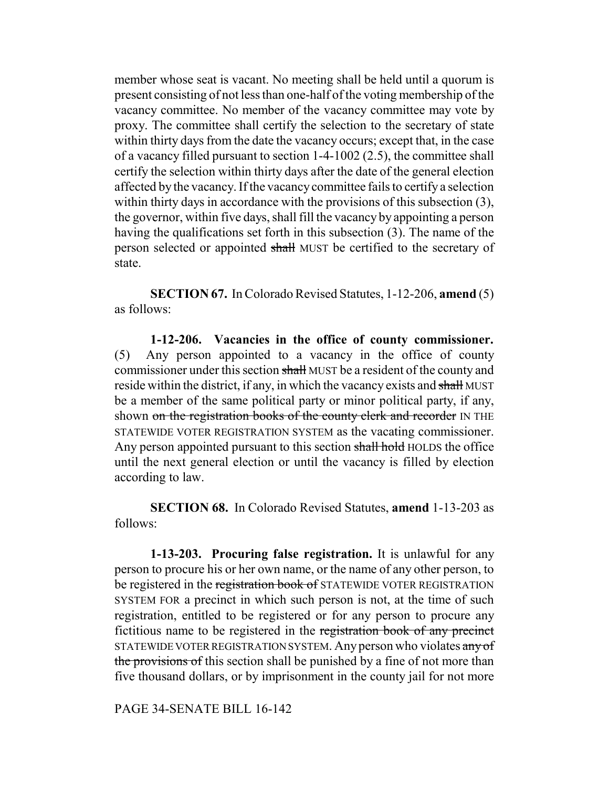member whose seat is vacant. No meeting shall be held until a quorum is present consisting of not less than one-half of the voting membership of the vacancy committee. No member of the vacancy committee may vote by proxy. The committee shall certify the selection to the secretary of state within thirty days from the date the vacancy occurs; except that, in the case of a vacancy filled pursuant to section 1-4-1002 (2.5), the committee shall certify the selection within thirty days after the date of the general election affected by the vacancy. If the vacancy committee fails to certify a selection within thirty days in accordance with the provisions of this subsection (3), the governor, within five days, shall fill the vacancy by appointing a person having the qualifications set forth in this subsection (3). The name of the person selected or appointed shall MUST be certified to the secretary of state.

**SECTION 67.** In Colorado Revised Statutes, 1-12-206, **amend** (5) as follows:

**1-12-206. Vacancies in the office of county commissioner.** (5) Any person appointed to a vacancy in the office of county commissioner under this section shall MUST be a resident of the county and reside within the district, if any, in which the vacancy exists and shall MUST be a member of the same political party or minor political party, if any, shown on the registration books of the county clerk and recorder IN THE STATEWIDE VOTER REGISTRATION SYSTEM as the vacating commissioner. Any person appointed pursuant to this section shall hold HOLDS the office until the next general election or until the vacancy is filled by election according to law.

**SECTION 68.** In Colorado Revised Statutes, **amend** 1-13-203 as follows:

**1-13-203. Procuring false registration.** It is unlawful for any person to procure his or her own name, or the name of any other person, to be registered in the registration book of STATEWIDE VOTER REGISTRATION SYSTEM FOR a precinct in which such person is not, at the time of such registration, entitled to be registered or for any person to procure any fictitious name to be registered in the registration book of any precinct STATEWIDE VOTER REGISTRATION SYSTEM. Any person who violates any of the provisions of this section shall be punished by a fine of not more than five thousand dollars, or by imprisonment in the county jail for not more

PAGE 34-SENATE BILL 16-142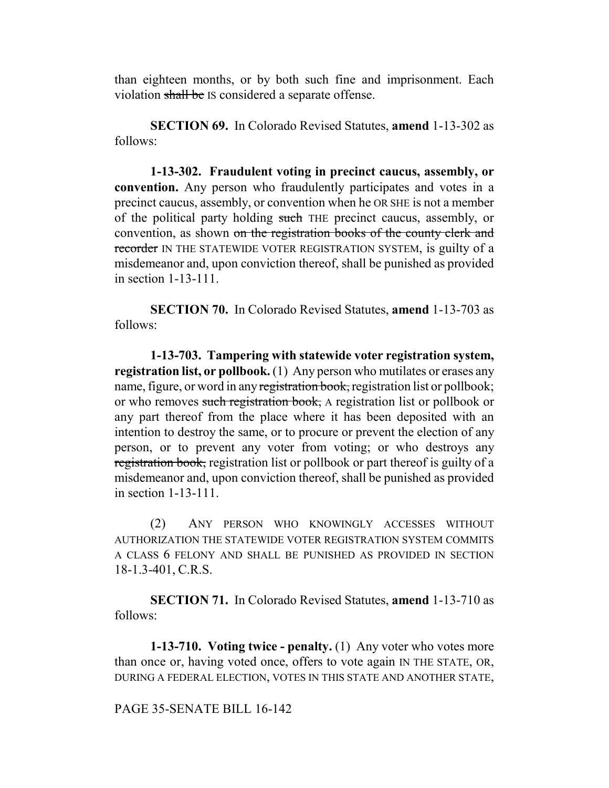than eighteen months, or by both such fine and imprisonment. Each violation shall be IS considered a separate offense.

**SECTION 69.** In Colorado Revised Statutes, **amend** 1-13-302 as follows:

**1-13-302. Fraudulent voting in precinct caucus, assembly, or convention.** Any person who fraudulently participates and votes in a precinct caucus, assembly, or convention when he OR SHE is not a member of the political party holding such THE precinct caucus, assembly, or convention, as shown on the registration books of the county clerk and recorder IN THE STATEWIDE VOTER REGISTRATION SYSTEM, is guilty of a misdemeanor and, upon conviction thereof, shall be punished as provided in section 1-13-111.

**SECTION 70.** In Colorado Revised Statutes, **amend** 1-13-703 as follows:

**1-13-703. Tampering with statewide voter registration system, registration list, or pollbook.** (1) Any person who mutilates or erases any name, figure, or word in any registration book, registration list or pollbook; or who removes such registration book, A registration list or pollbook or any part thereof from the place where it has been deposited with an intention to destroy the same, or to procure or prevent the election of any person, or to prevent any voter from voting; or who destroys any registration book, registration list or pollbook or part thereof is guilty of a misdemeanor and, upon conviction thereof, shall be punished as provided in section 1-13-111.

(2) ANY PERSON WHO KNOWINGLY ACCESSES WITHOUT AUTHORIZATION THE STATEWIDE VOTER REGISTRATION SYSTEM COMMITS A CLASS 6 FELONY AND SHALL BE PUNISHED AS PROVIDED IN SECTION 18-1.3-401, C.R.S.

**SECTION 71.** In Colorado Revised Statutes, **amend** 1-13-710 as follows:

**1-13-710. Voting twice - penalty.** (1) Any voter who votes more than once or, having voted once, offers to vote again IN THE STATE, OR, DURING A FEDERAL ELECTION, VOTES IN THIS STATE AND ANOTHER STATE,

PAGE 35-SENATE BILL 16-142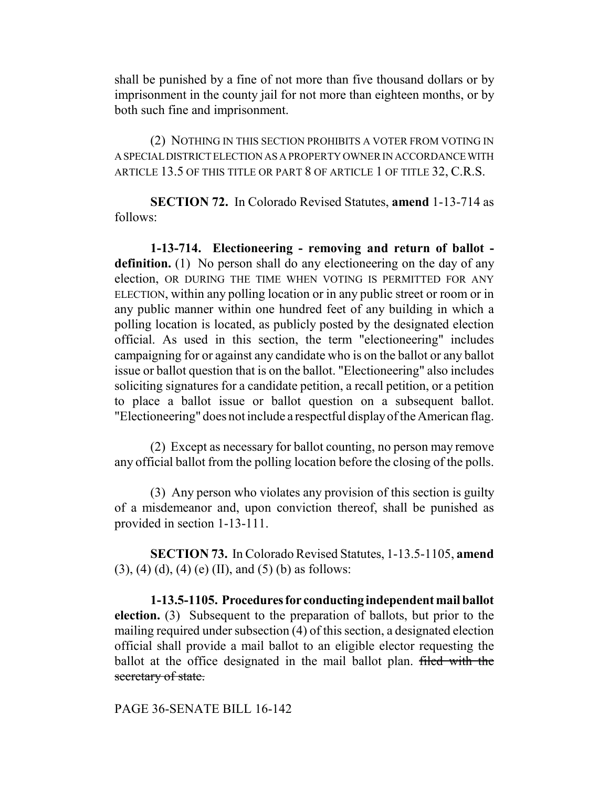shall be punished by a fine of not more than five thousand dollars or by imprisonment in the county jail for not more than eighteen months, or by both such fine and imprisonment.

(2) NOTHING IN THIS SECTION PROHIBITS A VOTER FROM VOTING IN A SPECIAL DISTRICT ELECTION AS A PROPERTY OWNER IN ACCORDANCE WITH ARTICLE 13.5 OF THIS TITLE OR PART 8 OF ARTICLE 1 OF TITLE 32, C.R.S.

**SECTION 72.** In Colorado Revised Statutes, **amend** 1-13-714 as follows:

**1-13-714. Electioneering - removing and return of ballot definition.** (1) No person shall do any electioneering on the day of any election, OR DURING THE TIME WHEN VOTING IS PERMITTED FOR ANY ELECTION, within any polling location or in any public street or room or in any public manner within one hundred feet of any building in which a polling location is located, as publicly posted by the designated election official. As used in this section, the term "electioneering" includes campaigning for or against any candidate who is on the ballot or any ballot issue or ballot question that is on the ballot. "Electioneering" also includes soliciting signatures for a candidate petition, a recall petition, or a petition to place a ballot issue or ballot question on a subsequent ballot. "Electioneering" does not include a respectful display of the American flag.

(2) Except as necessary for ballot counting, no person may remove any official ballot from the polling location before the closing of the polls.

(3) Any person who violates any provision of this section is guilty of a misdemeanor and, upon conviction thereof, shall be punished as provided in section 1-13-111.

**SECTION 73.** In Colorado Revised Statutes, 1-13.5-1105, **amend**  $(3)$ ,  $(4)$   $(d)$ ,  $(4)$   $(e)$   $(II)$ , and  $(5)$   $(b)$  as follows:

**1-13.5-1105. Procedures for conducting independent mail ballot election.** (3) Subsequent to the preparation of ballots, but prior to the mailing required under subsection (4) of this section, a designated election official shall provide a mail ballot to an eligible elector requesting the ballot at the office designated in the mail ballot plan. filed with the secretary of state.

PAGE 36-SENATE BILL 16-142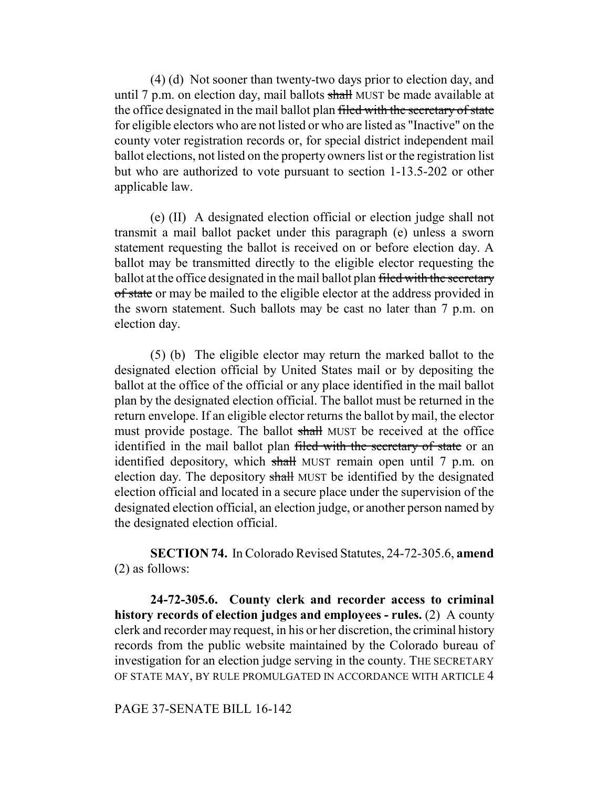(4) (d) Not sooner than twenty-two days prior to election day, and until 7 p.m. on election day, mail ballots shall MUST be made available at the office designated in the mail ballot plan filed with the secretary of state for eligible electors who are not listed or who are listed as "Inactive" on the county voter registration records or, for special district independent mail ballot elections, not listed on the property owners list or the registration list but who are authorized to vote pursuant to section 1-13.5-202 or other applicable law.

(e) (II) A designated election official or election judge shall not transmit a mail ballot packet under this paragraph (e) unless a sworn statement requesting the ballot is received on or before election day. A ballot may be transmitted directly to the eligible elector requesting the ballot at the office designated in the mail ballot plan filed with the secretary of state or may be mailed to the eligible elector at the address provided in the sworn statement. Such ballots may be cast no later than 7 p.m. on election day.

(5) (b) The eligible elector may return the marked ballot to the designated election official by United States mail or by depositing the ballot at the office of the official or any place identified in the mail ballot plan by the designated election official. The ballot must be returned in the return envelope. If an eligible elector returns the ballot by mail, the elector must provide postage. The ballot shall MUST be received at the office identified in the mail ballot plan filed with the secretary of state or an identified depository, which shall MUST remain open until 7 p.m. on election day. The depository shall MUST be identified by the designated election official and located in a secure place under the supervision of the designated election official, an election judge, or another person named by the designated election official.

**SECTION 74.** In Colorado Revised Statutes, 24-72-305.6, **amend** (2) as follows:

**24-72-305.6. County clerk and recorder access to criminal history records of election judges and employees - rules.** (2) A county clerk and recorder may request, in his or her discretion, the criminal history records from the public website maintained by the Colorado bureau of investigation for an election judge serving in the county. THE SECRETARY OF STATE MAY, BY RULE PROMULGATED IN ACCORDANCE WITH ARTICLE 4

PAGE 37-SENATE BILL 16-142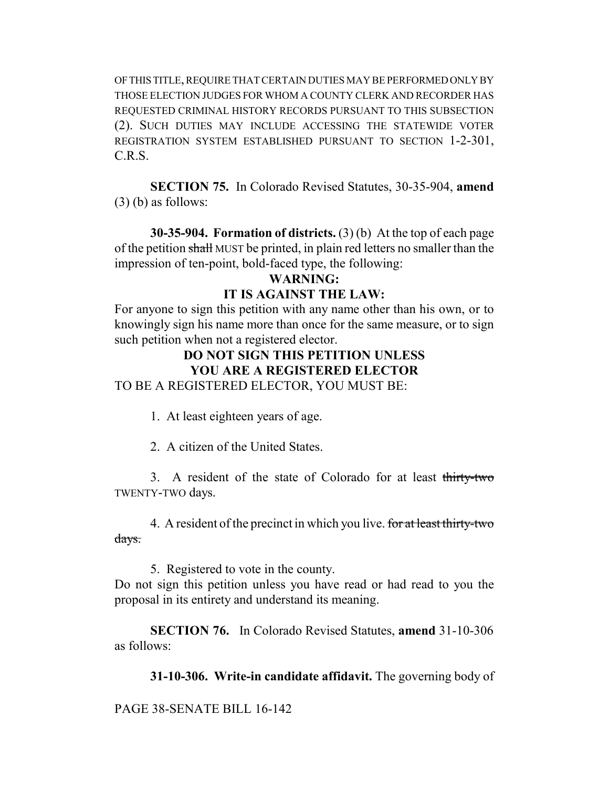OF THIS TITLE, REQUIRE THAT CERTAIN DUTIES MAY BE PERFORMED ONLY BY THOSE ELECTION JUDGES FOR WHOM A COUNTY CLERK AND RECORDER HAS REQUESTED CRIMINAL HISTORY RECORDS PURSUANT TO THIS SUBSECTION (2). SUCH DUTIES MAY INCLUDE ACCESSING THE STATEWIDE VOTER REGISTRATION SYSTEM ESTABLISHED PURSUANT TO SECTION 1-2-301, C.R.S.

**SECTION 75.** In Colorado Revised Statutes, 30-35-904, **amend** (3) (b) as follows:

**30-35-904. Formation of districts.** (3) (b) At the top of each page of the petition shall MUST be printed, in plain red letters no smaller than the impression of ten-point, bold-faced type, the following:

## **WARNING:**

#### **IT IS AGAINST THE LAW:**

For anyone to sign this petition with any name other than his own, or to knowingly sign his name more than once for the same measure, or to sign such petition when not a registered elector.

# **DO NOT SIGN THIS PETITION UNLESS YOU ARE A REGISTERED ELECTOR**

TO BE A REGISTERED ELECTOR, YOU MUST BE:

1. At least eighteen years of age.

2. A citizen of the United States.

3. A resident of the state of Colorado for at least thirty-two TWENTY-TWO days.

4. A resident of the precinct in which you live. for at least thirty-two days.

5. Registered to vote in the county.

Do not sign this petition unless you have read or had read to you the proposal in its entirety and understand its meaning.

**SECTION 76.** In Colorado Revised Statutes, **amend** 31-10-306 as follows:

**31-10-306. Write-in candidate affidavit.** The governing body of

PAGE 38-SENATE BILL 16-142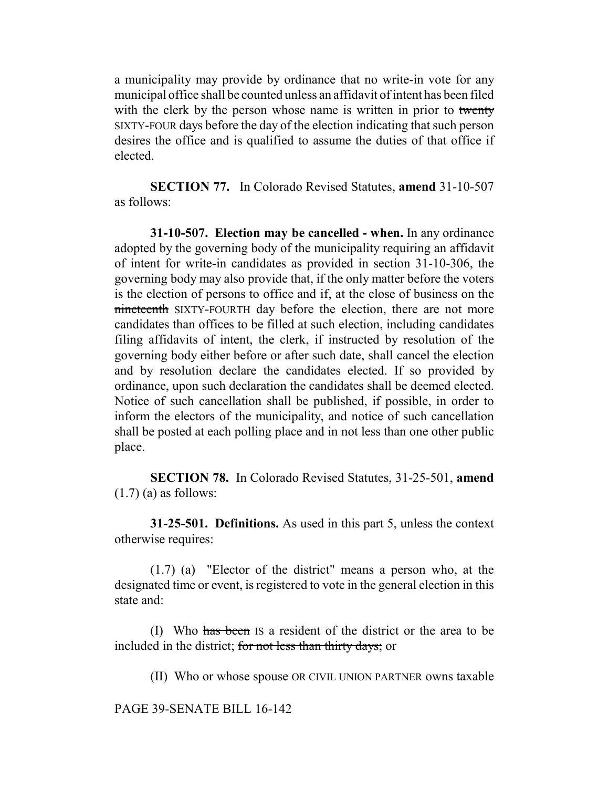a municipality may provide by ordinance that no write-in vote for any municipal office shall be counted unless an affidavit of intent has been filed with the clerk by the person whose name is written in prior to twenty SIXTY-FOUR days before the day of the election indicating that such person desires the office and is qualified to assume the duties of that office if elected.

**SECTION 77.** In Colorado Revised Statutes, **amend** 31-10-507 as follows:

**31-10-507. Election may be cancelled - when.** In any ordinance adopted by the governing body of the municipality requiring an affidavit of intent for write-in candidates as provided in section 31-10-306, the governing body may also provide that, if the only matter before the voters is the election of persons to office and if, at the close of business on the nineteenth SIXTY-FOURTH day before the election, there are not more candidates than offices to be filled at such election, including candidates filing affidavits of intent, the clerk, if instructed by resolution of the governing body either before or after such date, shall cancel the election and by resolution declare the candidates elected. If so provided by ordinance, upon such declaration the candidates shall be deemed elected. Notice of such cancellation shall be published, if possible, in order to inform the electors of the municipality, and notice of such cancellation shall be posted at each polling place and in not less than one other public place.

**SECTION 78.** In Colorado Revised Statutes, 31-25-501, **amend**  $(1.7)$  (a) as follows:

**31-25-501. Definitions.** As used in this part 5, unless the context otherwise requires:

(1.7) (a) "Elector of the district" means a person who, at the designated time or event, is registered to vote in the general election in this state and:

(I) Who has been IS a resident of the district or the area to be included in the district; for not less than thirty days; or

(II) Who or whose spouse OR CIVIL UNION PARTNER owns taxable

PAGE 39-SENATE BILL 16-142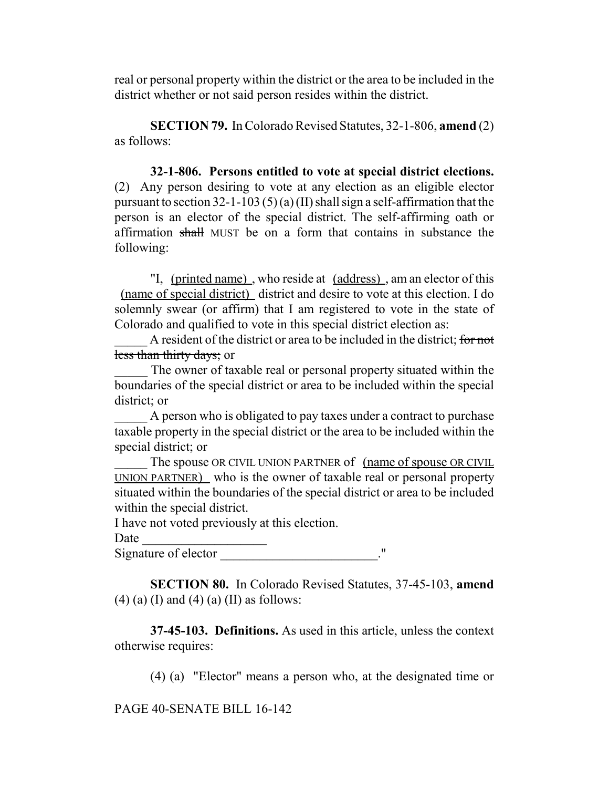real or personal property within the district or the area to be included in the district whether or not said person resides within the district.

**SECTION 79.** In Colorado Revised Statutes, 32-1-806, **amend** (2) as follows:

**32-1-806. Persons entitled to vote at special district elections.** (2) Any person desiring to vote at any election as an eligible elector pursuant to section  $32$ -1-103 (5)(a)(II) shall sign a self-affirmation that the person is an elector of the special district. The self-affirming oath or affirmation shall MUST be on a form that contains in substance the following:

"I, (printed name) , who reside at (address) , am an elector of this (name of special district) district and desire to vote at this election. I do solemnly swear (or affirm) that I am registered to vote in the state of Colorado and qualified to vote in this special district election as:

A resident of the district or area to be included in the district; for not less than thirty days; or

The owner of taxable real or personal property situated within the boundaries of the special district or area to be included within the special district; or

A person who is obligated to pay taxes under a contract to purchase taxable property in the special district or the area to be included within the special district; or

The spouse OR CIVIL UNION PARTNER of (name of spouse OR CIVIL) UNION PARTNER) who is the owner of taxable real or personal property situated within the boundaries of the special district or area to be included within the special district.

I have not voted previously at this election.

Date

Signature of elector  $\blacksquare$ 

**SECTION 80.** In Colorado Revised Statutes, 37-45-103, **amend**  $(4)$  (a) (I) and (4) (a) (II) as follows:

**37-45-103. Definitions.** As used in this article, unless the context otherwise requires:

(4) (a) "Elector" means a person who, at the designated time or

PAGE 40-SENATE BILL 16-142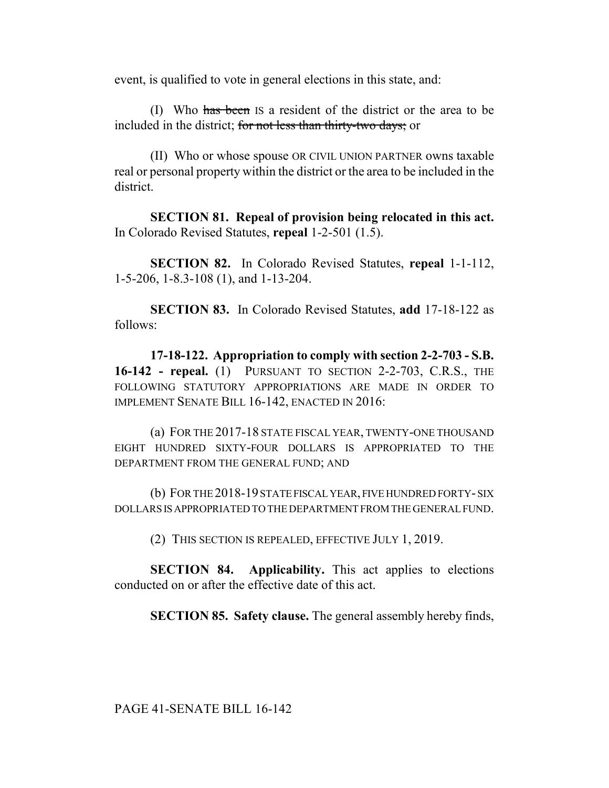event, is qualified to vote in general elections in this state, and:

(I) Who has been IS a resident of the district or the area to be included in the district; for not less than thirty-two days; or

(II) Who or whose spouse OR CIVIL UNION PARTNER owns taxable real or personal property within the district or the area to be included in the district.

**SECTION 81. Repeal of provision being relocated in this act.** In Colorado Revised Statutes, **repeal** 1-2-501 (1.5).

**SECTION 82.** In Colorado Revised Statutes, **repeal** 1-1-112, 1-5-206, 1-8.3-108 (1), and 1-13-204.

**SECTION 83.** In Colorado Revised Statutes, **add** 17-18-122 as follows:

**17-18-122. Appropriation to comply with section 2-2-703 - S.B. 16-142 - repeal.** (1) PURSUANT TO SECTION 2-2-703, C.R.S., THE FOLLOWING STATUTORY APPROPRIATIONS ARE MADE IN ORDER TO IMPLEMENT SENATE BILL 16-142, ENACTED IN 2016:

(a) FOR THE 2017-18 STATE FISCAL YEAR, TWENTY-ONE THOUSAND EIGHT HUNDRED SIXTY-FOUR DOLLARS IS APPROPRIATED TO THE DEPARTMENT FROM THE GENERAL FUND; AND

(b) FOR THE 2018-19 STATE FISCAL YEAR, FIVE HUNDRED FORTY- SIX DOLLARS IS APPROPRIATED TO THE DEPARTMENT FROM THE GENERAL FUND.

(2) THIS SECTION IS REPEALED, EFFECTIVE JULY 1, 2019.

**SECTION 84. Applicability.** This act applies to elections conducted on or after the effective date of this act.

**SECTION 85. Safety clause.** The general assembly hereby finds,